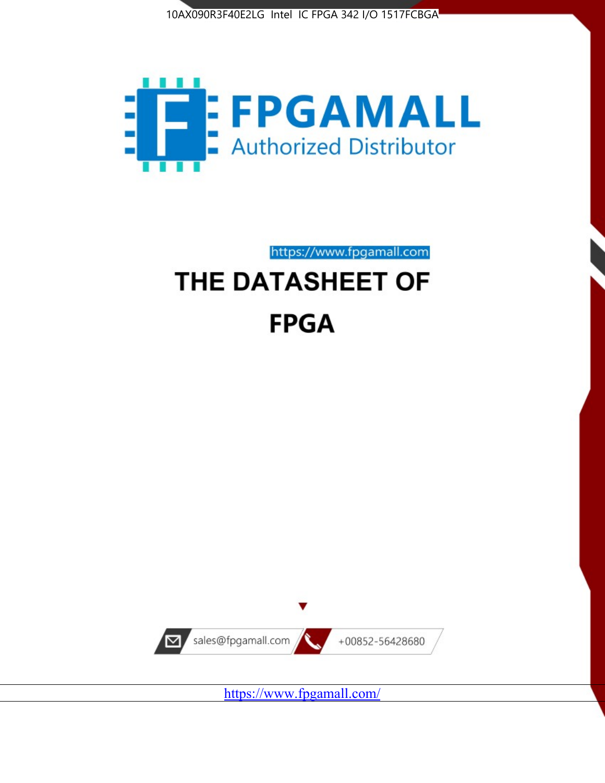



https://www.fpgamall.com

# THE DATASHEET OF **FPGA**



<https://www.fpgamall.com/>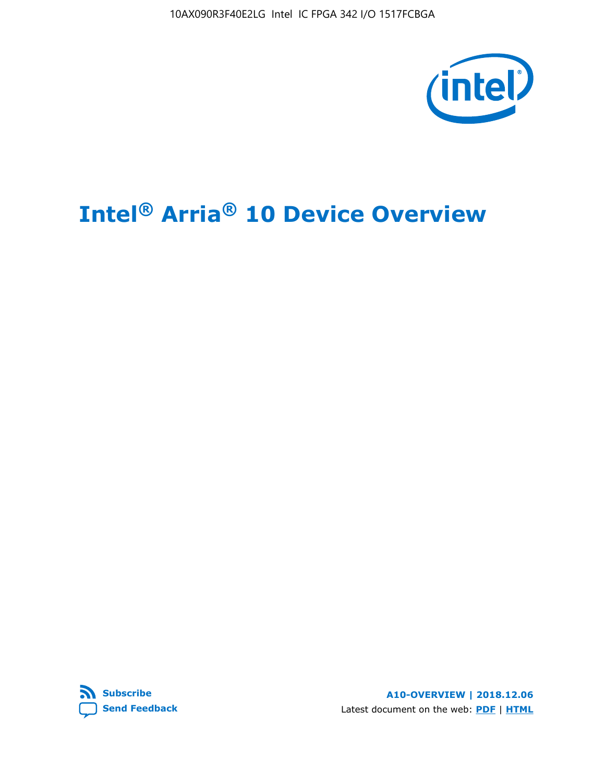10AX090R3F40E2LG Intel IC FPGA 342 I/O 1517FCBGA



# **Intel® Arria® 10 Device Overview**



**A10-OVERVIEW | 2018.12.06** Latest document on the web: **[PDF](https://www.intel.com/content/dam/www/programmable/us/en/pdfs/literature/hb/arria-10/a10_overview.pdf)** | **[HTML](https://www.intel.com/content/www/us/en/programmable/documentation/sam1403480274650.html)**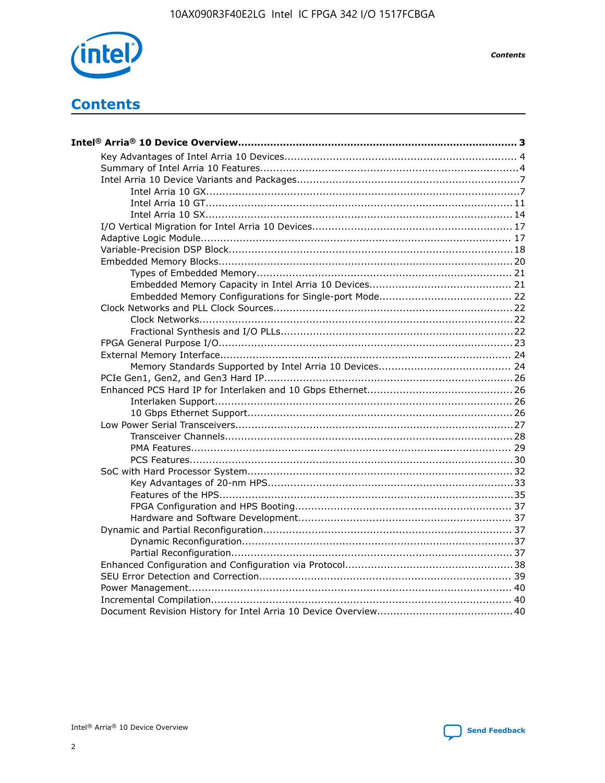

**Contents** 

# **Contents**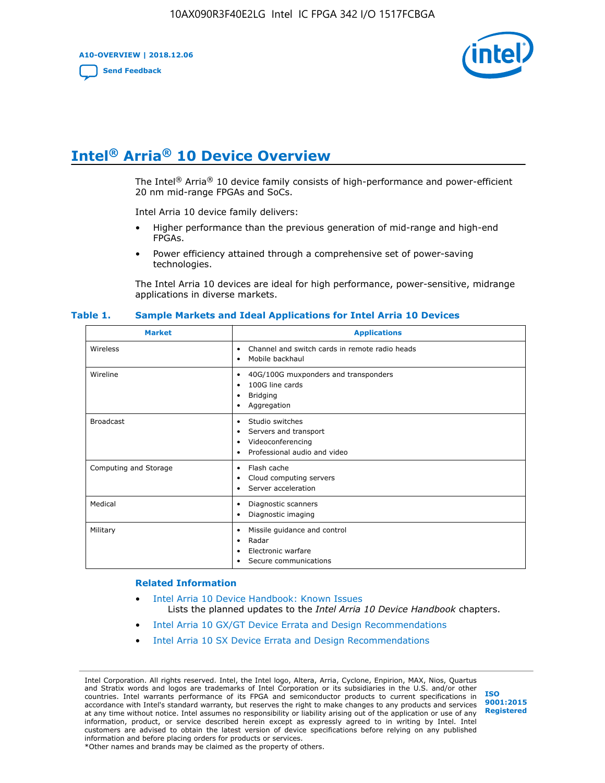**A10-OVERVIEW | 2018.12.06**

**[Send Feedback](mailto:FPGAtechdocfeedback@intel.com?subject=Feedback%20on%20Intel%20Arria%2010%20Device%20Overview%20(A10-OVERVIEW%202018.12.06)&body=We%20appreciate%20your%20feedback.%20In%20your%20comments,%20also%20specify%20the%20page%20number%20or%20paragraph.%20Thank%20you.)**



# **Intel® Arria® 10 Device Overview**

The Intel<sup>®</sup> Arria<sup>®</sup> 10 device family consists of high-performance and power-efficient 20 nm mid-range FPGAs and SoCs.

Intel Arria 10 device family delivers:

- Higher performance than the previous generation of mid-range and high-end FPGAs.
- Power efficiency attained through a comprehensive set of power-saving technologies.

The Intel Arria 10 devices are ideal for high performance, power-sensitive, midrange applications in diverse markets.

| <b>Market</b>         | <b>Applications</b>                                                                                               |
|-----------------------|-------------------------------------------------------------------------------------------------------------------|
| Wireless              | Channel and switch cards in remote radio heads<br>٠<br>Mobile backhaul<br>٠                                       |
| Wireline              | 40G/100G muxponders and transponders<br>٠<br>100G line cards<br>٠<br><b>Bridging</b><br>٠<br>Aggregation<br>٠     |
| <b>Broadcast</b>      | Studio switches<br>٠<br>Servers and transport<br>٠<br>Videoconferencing<br>٠<br>Professional audio and video<br>٠ |
| Computing and Storage | Flash cache<br>٠<br>Cloud computing servers<br>٠<br>Server acceleration<br>٠                                      |
| Medical               | Diagnostic scanners<br>٠<br>Diagnostic imaging<br>٠                                                               |
| Military              | Missile guidance and control<br>٠<br>Radar<br>٠<br>Electronic warfare<br>٠<br>Secure communications<br>٠          |

#### **Table 1. Sample Markets and Ideal Applications for Intel Arria 10 Devices**

#### **Related Information**

- [Intel Arria 10 Device Handbook: Known Issues](http://www.altera.com/support/kdb/solutions/rd07302013_646.html) Lists the planned updates to the *Intel Arria 10 Device Handbook* chapters.
- [Intel Arria 10 GX/GT Device Errata and Design Recommendations](https://www.intel.com/content/www/us/en/programmable/documentation/agz1493851706374.html#yqz1494433888646)
- [Intel Arria 10 SX Device Errata and Design Recommendations](https://www.intel.com/content/www/us/en/programmable/documentation/cru1462832385668.html#cru1462832558642)

Intel Corporation. All rights reserved. Intel, the Intel logo, Altera, Arria, Cyclone, Enpirion, MAX, Nios, Quartus and Stratix words and logos are trademarks of Intel Corporation or its subsidiaries in the U.S. and/or other countries. Intel warrants performance of its FPGA and semiconductor products to current specifications in accordance with Intel's standard warranty, but reserves the right to make changes to any products and services at any time without notice. Intel assumes no responsibility or liability arising out of the application or use of any information, product, or service described herein except as expressly agreed to in writing by Intel. Intel customers are advised to obtain the latest version of device specifications before relying on any published information and before placing orders for products or services. \*Other names and brands may be claimed as the property of others.

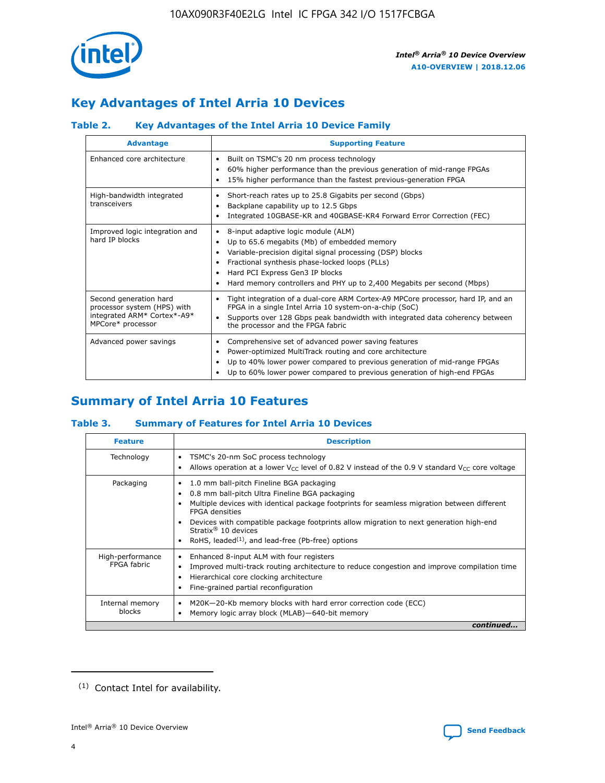

## **Key Advantages of Intel Arria 10 Devices**

## **Table 2. Key Advantages of the Intel Arria 10 Device Family**

| <b>Advantage</b>                                                                                          | <b>Supporting Feature</b>                                                                                                                                                                                                                                                                                                |  |  |  |  |  |  |
|-----------------------------------------------------------------------------------------------------------|--------------------------------------------------------------------------------------------------------------------------------------------------------------------------------------------------------------------------------------------------------------------------------------------------------------------------|--|--|--|--|--|--|
| Enhanced core architecture                                                                                | Built on TSMC's 20 nm process technology<br>٠<br>60% higher performance than the previous generation of mid-range FPGAs<br>٠<br>15% higher performance than the fastest previous-generation FPGA<br>٠                                                                                                                    |  |  |  |  |  |  |
| High-bandwidth integrated<br>transceivers                                                                 | Short-reach rates up to 25.8 Gigabits per second (Gbps)<br>٠<br>Backplane capability up to 12.5 Gbps<br>٠<br>Integrated 10GBASE-KR and 40GBASE-KR4 Forward Error Correction (FEC)<br>٠                                                                                                                                   |  |  |  |  |  |  |
| Improved logic integration and<br>hard IP blocks                                                          | 8-input adaptive logic module (ALM)<br>٠<br>Up to 65.6 megabits (Mb) of embedded memory<br>٠<br>Variable-precision digital signal processing (DSP) blocks<br>Fractional synthesis phase-locked loops (PLLs)<br>Hard PCI Express Gen3 IP blocks<br>Hard memory controllers and PHY up to 2,400 Megabits per second (Mbps) |  |  |  |  |  |  |
| Second generation hard<br>processor system (HPS) with<br>integrated ARM* Cortex*-A9*<br>MPCore* processor | Tight integration of a dual-core ARM Cortex-A9 MPCore processor, hard IP, and an<br>٠<br>FPGA in a single Intel Arria 10 system-on-a-chip (SoC)<br>Supports over 128 Gbps peak bandwidth with integrated data coherency between<br>$\bullet$<br>the processor and the FPGA fabric                                        |  |  |  |  |  |  |
| Advanced power savings                                                                                    | Comprehensive set of advanced power saving features<br>٠<br>Power-optimized MultiTrack routing and core architecture<br>٠<br>Up to 40% lower power compared to previous generation of mid-range FPGAs<br>٠<br>Up to 60% lower power compared to previous generation of high-end FPGAs                                    |  |  |  |  |  |  |

## **Summary of Intel Arria 10 Features**

## **Table 3. Summary of Features for Intel Arria 10 Devices**

| <b>Feature</b>                  | <b>Description</b>                                                                                                                                                                                                                                                                                                                                                                                 |
|---------------------------------|----------------------------------------------------------------------------------------------------------------------------------------------------------------------------------------------------------------------------------------------------------------------------------------------------------------------------------------------------------------------------------------------------|
| Technology                      | TSMC's 20-nm SoC process technology<br>Allows operation at a lower $V_{\text{CC}}$ level of 0.82 V instead of the 0.9 V standard $V_{\text{CC}}$ core voltage                                                                                                                                                                                                                                      |
| Packaging                       | 1.0 mm ball-pitch Fineline BGA packaging<br>٠<br>0.8 mm ball-pitch Ultra Fineline BGA packaging<br>Multiple devices with identical package footprints for seamless migration between different<br><b>FPGA</b> densities<br>Devices with compatible package footprints allow migration to next generation high-end<br>Stratix $@10$ devices<br>RoHS, leaded $(1)$ , and lead-free (Pb-free) options |
| High-performance<br>FPGA fabric | Enhanced 8-input ALM with four registers<br>Improved multi-track routing architecture to reduce congestion and improve compilation time<br>Hierarchical core clocking architecture<br>Fine-grained partial reconfiguration                                                                                                                                                                         |
| Internal memory<br>blocks       | M20K-20-Kb memory blocks with hard error correction code (ECC)<br>Memory logic array block (MLAB)-640-bit memory                                                                                                                                                                                                                                                                                   |
|                                 | continued                                                                                                                                                                                                                                                                                                                                                                                          |



<sup>(1)</sup> Contact Intel for availability.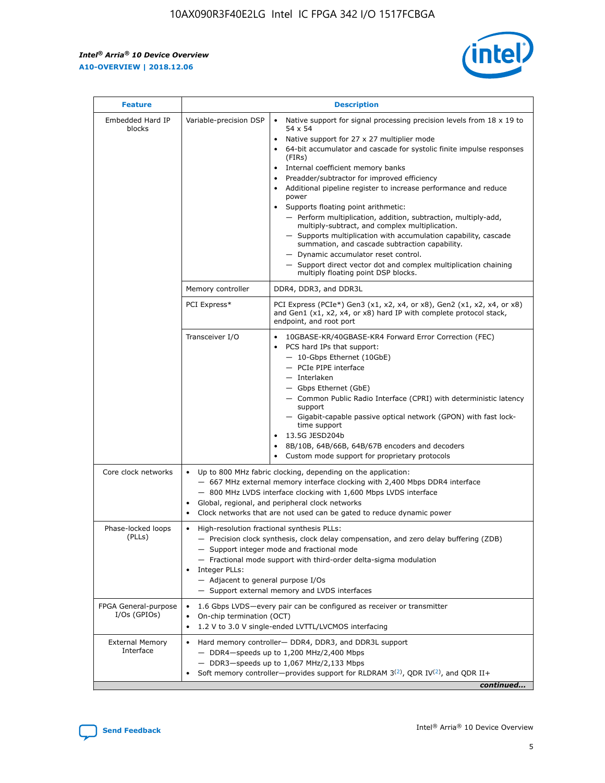$\mathbf{r}$ 



| <b>Feature</b>                         |                                                                                                        | <b>Description</b>                                                                                                                                                                                                                                                                                                                                                                                                                                                                                                                                                                                                                                                                                                                                                                                                                                                            |  |  |  |  |  |  |
|----------------------------------------|--------------------------------------------------------------------------------------------------------|-------------------------------------------------------------------------------------------------------------------------------------------------------------------------------------------------------------------------------------------------------------------------------------------------------------------------------------------------------------------------------------------------------------------------------------------------------------------------------------------------------------------------------------------------------------------------------------------------------------------------------------------------------------------------------------------------------------------------------------------------------------------------------------------------------------------------------------------------------------------------------|--|--|--|--|--|--|
| Embedded Hard IP<br>blocks             | Variable-precision DSP                                                                                 | Native support for signal processing precision levels from $18 \times 19$ to<br>$\bullet$<br>54 x 54<br>Native support for 27 x 27 multiplier mode<br>$\bullet$<br>64-bit accumulator and cascade for systolic finite impulse responses<br>$\bullet$<br>(FIRs)<br>Internal coefficient memory banks<br>$\bullet$<br>Preadder/subtractor for improved efficiency<br>Additional pipeline register to increase performance and reduce<br>power<br>Supports floating point arithmetic:<br>- Perform multiplication, addition, subtraction, multiply-add,<br>multiply-subtract, and complex multiplication.<br>- Supports multiplication with accumulation capability, cascade<br>summation, and cascade subtraction capability.<br>- Dynamic accumulator reset control.<br>- Support direct vector dot and complex multiplication chaining<br>multiply floating point DSP blocks. |  |  |  |  |  |  |
|                                        | Memory controller                                                                                      | DDR4, DDR3, and DDR3L                                                                                                                                                                                                                                                                                                                                                                                                                                                                                                                                                                                                                                                                                                                                                                                                                                                         |  |  |  |  |  |  |
|                                        | PCI Express*                                                                                           | PCI Express (PCIe*) Gen3 (x1, x2, x4, or x8), Gen2 (x1, x2, x4, or x8)<br>and Gen1 (x1, x2, x4, or x8) hard IP with complete protocol stack,<br>endpoint, and root port                                                                                                                                                                                                                                                                                                                                                                                                                                                                                                                                                                                                                                                                                                       |  |  |  |  |  |  |
|                                        | Transceiver I/O                                                                                        | 10GBASE-KR/40GBASE-KR4 Forward Error Correction (FEC)<br>PCS hard IPs that support:<br>٠<br>- 10-Gbps Ethernet (10GbE)<br>- PCIe PIPE interface<br>- Interlaken<br>- Gbps Ethernet (GbE)<br>- Common Public Radio Interface (CPRI) with deterministic latency<br>support<br>- Gigabit-capable passive optical network (GPON) with fast lock-<br>time support<br>13.5G JESD204b<br>$\bullet$<br>8B/10B, 64B/66B, 64B/67B encoders and decoders<br>$\bullet$<br>Custom mode support for proprietary protocols                                                                                                                                                                                                                                                                                                                                                                   |  |  |  |  |  |  |
| Core clock networks                    | $\bullet$                                                                                              | Up to 800 MHz fabric clocking, depending on the application:<br>- 667 MHz external memory interface clocking with 2,400 Mbps DDR4 interface<br>- 800 MHz LVDS interface clocking with 1,600 Mbps LVDS interface<br>Global, regional, and peripheral clock networks<br>Clock networks that are not used can be gated to reduce dynamic power                                                                                                                                                                                                                                                                                                                                                                                                                                                                                                                                   |  |  |  |  |  |  |
| Phase-locked loops<br>(PLLs)           | High-resolution fractional synthesis PLLs:<br>٠<br>Integer PLLs:<br>- Adjacent to general purpose I/Os | - Precision clock synthesis, clock delay compensation, and zero delay buffering (ZDB)<br>- Support integer mode and fractional mode<br>- Fractional mode support with third-order delta-sigma modulation<br>- Support external memory and LVDS interfaces                                                                                                                                                                                                                                                                                                                                                                                                                                                                                                                                                                                                                     |  |  |  |  |  |  |
| FPGA General-purpose<br>$I/Os$ (GPIOs) | On-chip termination (OCT)<br>٠                                                                         | 1.6 Gbps LVDS-every pair can be configured as receiver or transmitter                                                                                                                                                                                                                                                                                                                                                                                                                                                                                                                                                                                                                                                                                                                                                                                                         |  |  |  |  |  |  |
| <b>External Memory</b><br>Interface    | $\bullet$                                                                                              | 1.2 V to 3.0 V single-ended LVTTL/LVCMOS interfacing<br>Hard memory controller- DDR4, DDR3, and DDR3L support<br>$-$ DDR4 $-$ speeds up to 1,200 MHz/2,400 Mbps<br>- DDR3-speeds up to 1,067 MHz/2,133 Mbps<br>Soft memory controller—provides support for RLDRAM $3^{(2)}$ , QDR IV $^{(2)}$ , and QDR II+<br>continued                                                                                                                                                                                                                                                                                                                                                                                                                                                                                                                                                      |  |  |  |  |  |  |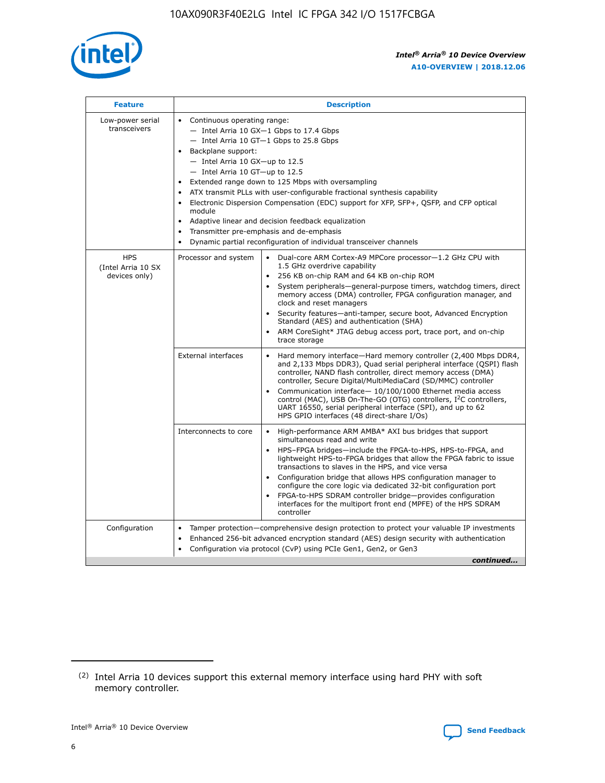

| <b>Feature</b>                                    | <b>Description</b>                                                                                                                                                                                                                                                                                                                                                                                                                                                                                                                                                                                                                                      |
|---------------------------------------------------|---------------------------------------------------------------------------------------------------------------------------------------------------------------------------------------------------------------------------------------------------------------------------------------------------------------------------------------------------------------------------------------------------------------------------------------------------------------------------------------------------------------------------------------------------------------------------------------------------------------------------------------------------------|
| Low-power serial<br>transceivers                  | • Continuous operating range:<br>- Intel Arria 10 GX-1 Gbps to 17.4 Gbps<br>- Intel Arria 10 GT-1 Gbps to 25.8 Gbps<br>Backplane support:<br>$-$ Intel Arria 10 GX-up to 12.5<br>- Intel Arria 10 GT-up to 12.5<br>Extended range down to 125 Mbps with oversampling<br>ATX transmit PLLs with user-configurable fractional synthesis capability<br>• Electronic Dispersion Compensation (EDC) support for XFP, SFP+, QSFP, and CFP optical<br>module<br>Adaptive linear and decision feedback equalization<br>$\bullet$<br>Transmitter pre-emphasis and de-emphasis<br>$\bullet$<br>Dynamic partial reconfiguration of individual transceiver channels |
| <b>HPS</b><br>(Intel Arria 10 SX<br>devices only) | Processor and system<br>Dual-core ARM Cortex-A9 MPCore processor-1.2 GHz CPU with<br>$\bullet$<br>1.5 GHz overdrive capability<br>• 256 KB on-chip RAM and 64 KB on-chip ROM<br>System peripherals-general-purpose timers, watchdog timers, direct<br>memory access (DMA) controller, FPGA configuration manager, and<br>clock and reset managers<br>• Security features—anti-tamper, secure boot, Advanced Encryption<br>Standard (AES) and authentication (SHA)<br>ARM CoreSight* JTAG debug access port, trace port, and on-chip<br>trace storage                                                                                                    |
|                                                   | <b>External interfaces</b><br>Hard memory interface—Hard memory controller (2,400 Mbps DDR4,<br>$\bullet$<br>and 2,133 Mbps DDR3), Quad serial peripheral interface (QSPI) flash<br>controller, NAND flash controller, direct memory access (DMA)<br>controller, Secure Digital/MultiMediaCard (SD/MMC) controller<br>Communication interface-10/100/1000 Ethernet media access<br>control (MAC), USB On-The-GO (OTG) controllers, I <sup>2</sup> C controllers,<br>UART 16550, serial peripheral interface (SPI), and up to 62<br>HPS GPIO interfaces (48 direct-share I/Os)                                                                           |
|                                                   | High-performance ARM AMBA* AXI bus bridges that support<br>Interconnects to core<br>$\bullet$<br>simultaneous read and write<br>HPS-FPGA bridges—include the FPGA-to-HPS, HPS-to-FPGA, and<br>lightweight HPS-to-FPGA bridges that allow the FPGA fabric to issue<br>transactions to slaves in the HPS, and vice versa<br>Configuration bridge that allows HPS configuration manager to<br>configure the core logic via dedicated 32-bit configuration port<br>FPGA-to-HPS SDRAM controller bridge-provides configuration<br>interfaces for the multiport front end (MPFE) of the HPS SDRAM<br>controller                                               |
| Configuration                                     | Tamper protection—comprehensive design protection to protect your valuable IP investments<br>Enhanced 256-bit advanced encryption standard (AES) design security with authentication<br>٠<br>Configuration via protocol (CvP) using PCIe Gen1, Gen2, or Gen3<br>continued                                                                                                                                                                                                                                                                                                                                                                               |

<sup>(2)</sup> Intel Arria 10 devices support this external memory interface using hard PHY with soft memory controller.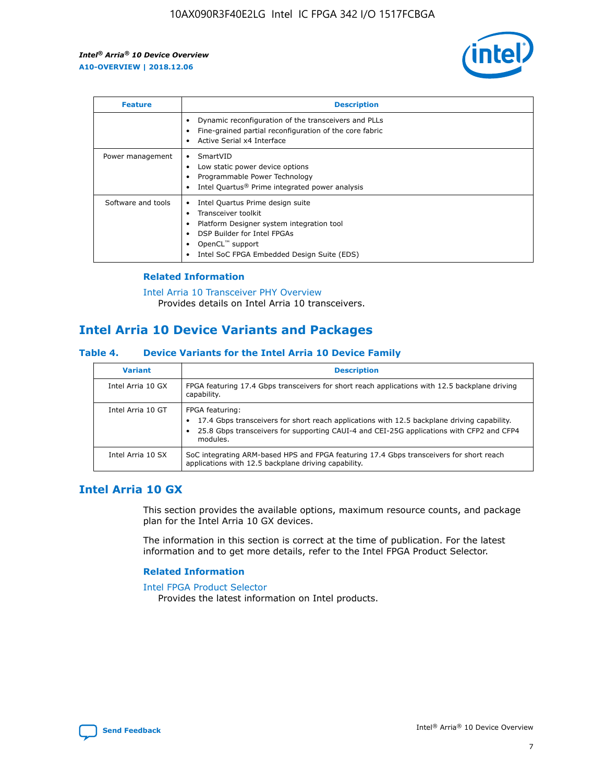

| <b>Feature</b>     | <b>Description</b>                                                                                                                                                                                               |
|--------------------|------------------------------------------------------------------------------------------------------------------------------------------------------------------------------------------------------------------|
|                    | Dynamic reconfiguration of the transceivers and PLLs<br>Fine-grained partial reconfiguration of the core fabric<br>Active Serial x4 Interface<br>$\bullet$                                                       |
| Power management   | SmartVID<br>Low static power device options<br>Programmable Power Technology<br>Intel Quartus <sup>®</sup> Prime integrated power analysis                                                                       |
| Software and tools | Intel Quartus Prime design suite<br>Transceiver toolkit<br>Platform Designer system integration tool<br>DSP Builder for Intel FPGAs<br>OpenCL <sup>™</sup> support<br>Intel SoC FPGA Embedded Design Suite (EDS) |

## **Related Information**

[Intel Arria 10 Transceiver PHY Overview](https://www.intel.com/content/www/us/en/programmable/documentation/nik1398707230472.html#nik1398706768037) Provides details on Intel Arria 10 transceivers.

## **Intel Arria 10 Device Variants and Packages**

#### **Table 4. Device Variants for the Intel Arria 10 Device Family**

| <b>Variant</b>    | <b>Description</b>                                                                                                                                                                                                     |
|-------------------|------------------------------------------------------------------------------------------------------------------------------------------------------------------------------------------------------------------------|
| Intel Arria 10 GX | FPGA featuring 17.4 Gbps transceivers for short reach applications with 12.5 backplane driving<br>capability.                                                                                                          |
| Intel Arria 10 GT | FPGA featuring:<br>17.4 Gbps transceivers for short reach applications with 12.5 backplane driving capability.<br>25.8 Gbps transceivers for supporting CAUI-4 and CEI-25G applications with CFP2 and CFP4<br>modules. |
| Intel Arria 10 SX | SoC integrating ARM-based HPS and FPGA featuring 17.4 Gbps transceivers for short reach<br>applications with 12.5 backplane driving capability.                                                                        |

## **Intel Arria 10 GX**

This section provides the available options, maximum resource counts, and package plan for the Intel Arria 10 GX devices.

The information in this section is correct at the time of publication. For the latest information and to get more details, refer to the Intel FPGA Product Selector.

#### **Related Information**

#### [Intel FPGA Product Selector](http://www.altera.com/products/selector/psg-selector.html) Provides the latest information on Intel products.

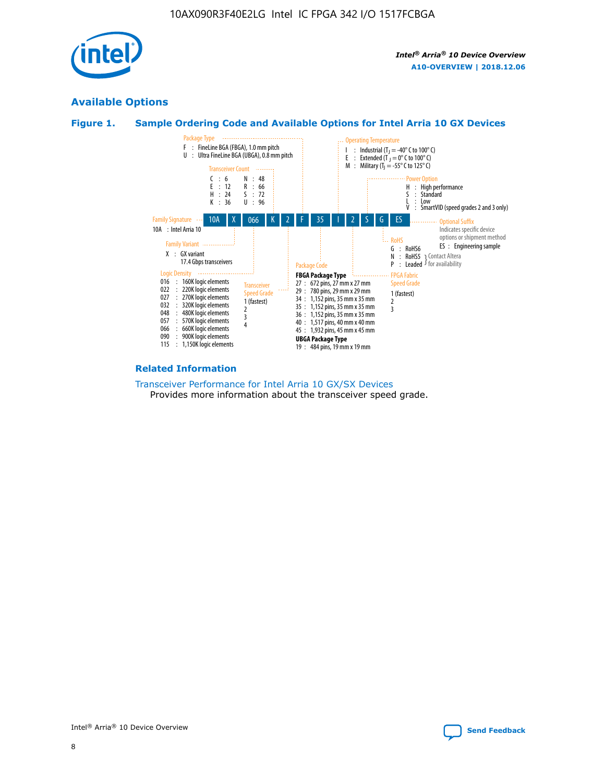

## **Available Options**





#### **Related Information**

[Transceiver Performance for Intel Arria 10 GX/SX Devices](https://www.intel.com/content/www/us/en/programmable/documentation/mcn1413182292568.html#mcn1413213965502) Provides more information about the transceiver speed grade.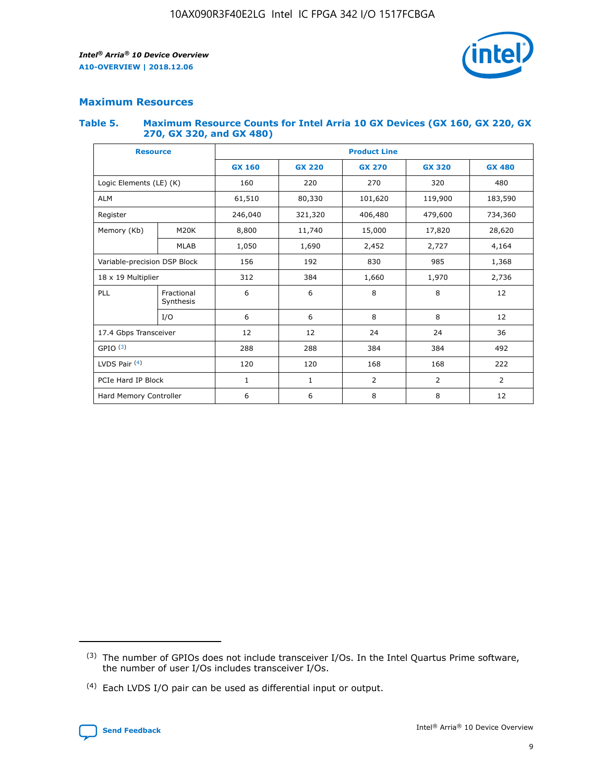

## **Maximum Resources**

#### **Table 5. Maximum Resource Counts for Intel Arria 10 GX Devices (GX 160, GX 220, GX 270, GX 320, and GX 480)**

| <b>Resource</b>         |                              | <b>Product Line</b> |                                                 |            |                |                |  |  |
|-------------------------|------------------------------|---------------------|-------------------------------------------------|------------|----------------|----------------|--|--|
|                         |                              | <b>GX 160</b>       | <b>GX 220</b><br><b>GX 270</b><br><b>GX 320</b> |            |                | <b>GX 480</b>  |  |  |
| Logic Elements (LE) (K) |                              | 160                 | 220                                             | 270        | 320            | 480            |  |  |
| <b>ALM</b>              |                              | 61,510              | 80,330                                          | 101,620    | 119,900        | 183,590        |  |  |
| Register                |                              | 246,040             | 321,320                                         | 406,480    | 479,600        | 734,360        |  |  |
| Memory (Kb)             | M <sub>20</sub> K            | 8,800               | 11,740                                          | 15,000     | 17,820         | 28,620         |  |  |
|                         | <b>MLAB</b>                  | 1,050               | 1,690                                           | 2,452      | 2,727          | 4,164          |  |  |
|                         | Variable-precision DSP Block |                     | 192                                             | 830<br>985 |                | 1,368          |  |  |
| 18 x 19 Multiplier      |                              | 312                 | 384                                             | 1,660      | 1,970          | 2,736          |  |  |
| PLL                     | Fractional<br>Synthesis      | 6                   | 6                                               | 8          | 8              | 12             |  |  |
|                         | I/O                          | 6                   | 6                                               | 8          | 8              | 12             |  |  |
| 17.4 Gbps Transceiver   |                              | 12                  | 12                                              | 24         | 24             | 36             |  |  |
| GPIO <sup>(3)</sup>     |                              | 288                 | 288                                             | 384        | 384            | 492            |  |  |
| LVDS Pair $(4)$         |                              | 120                 | 120                                             | 168        | 168            | 222            |  |  |
| PCIe Hard IP Block      |                              | 1                   | 1                                               | 2          | $\overline{2}$ | $\overline{2}$ |  |  |
| Hard Memory Controller  |                              | 6                   | 6                                               | 8          | 8              | 12             |  |  |

<sup>(4)</sup> Each LVDS I/O pair can be used as differential input or output.



<sup>(3)</sup> The number of GPIOs does not include transceiver I/Os. In the Intel Quartus Prime software, the number of user I/Os includes transceiver I/Os.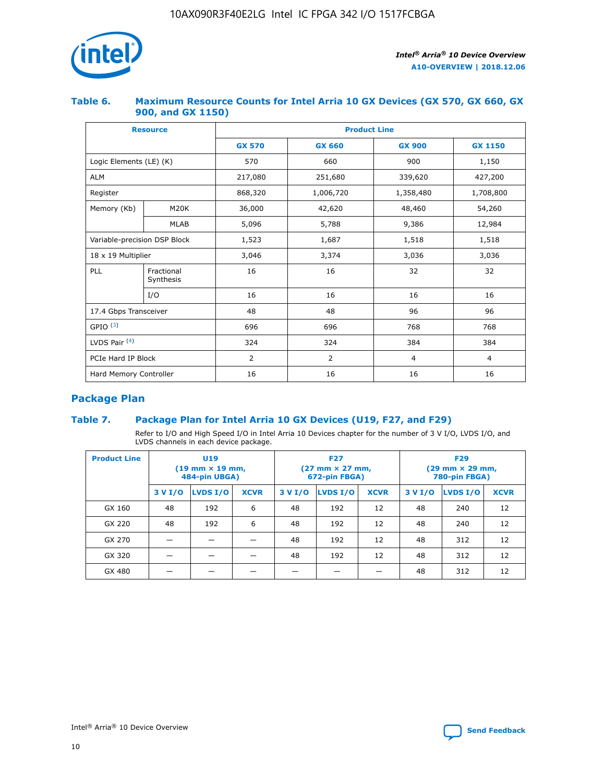

## **Table 6. Maximum Resource Counts for Intel Arria 10 GX Devices (GX 570, GX 660, GX 900, and GX 1150)**

|                              | <b>Resource</b>         | <b>Product Line</b> |                |                |                |  |  |  |
|------------------------------|-------------------------|---------------------|----------------|----------------|----------------|--|--|--|
|                              |                         | <b>GX 570</b>       | <b>GX 660</b>  | <b>GX 900</b>  | <b>GX 1150</b> |  |  |  |
| Logic Elements (LE) (K)      |                         | 570                 | 660            | 900            | 1,150          |  |  |  |
| <b>ALM</b>                   |                         | 217,080             | 251,680        | 339,620        | 427,200        |  |  |  |
| Register                     |                         | 868,320             | 1,006,720      | 1,358,480      | 1,708,800      |  |  |  |
| Memory (Kb)                  | <b>M20K</b>             | 36,000              | 42,620         | 48,460         | 54,260         |  |  |  |
|                              | <b>MLAB</b>             | 5,096               | 5,788          | 9,386          | 12,984         |  |  |  |
| Variable-precision DSP Block |                         | 1,523               | 1,687          | 1,518          | 1,518          |  |  |  |
|                              | 18 x 19 Multiplier      |                     | 3,374          | 3,036          | 3,036          |  |  |  |
| PLL                          | Fractional<br>Synthesis | 16                  | 16             | 32             | 32             |  |  |  |
|                              | I/O                     | 16                  | 16             | 16             | 16             |  |  |  |
| 17.4 Gbps Transceiver        |                         | 48                  | 48             |                | 96             |  |  |  |
| GPIO <sup>(3)</sup>          |                         | 696                 | 696            | 768            | 768            |  |  |  |
| LVDS Pair $(4)$              |                         | 324                 | 324<br>384     |                | 384            |  |  |  |
| PCIe Hard IP Block           |                         | 2                   | $\overline{2}$ | $\overline{4}$ | $\overline{4}$ |  |  |  |
| Hard Memory Controller       |                         | 16                  | 16             | 16             | 16             |  |  |  |

## **Package Plan**

## **Table 7. Package Plan for Intel Arria 10 GX Devices (U19, F27, and F29)**

Refer to I/O and High Speed I/O in Intel Arria 10 Devices chapter for the number of 3 V I/O, LVDS I/O, and LVDS channels in each device package.

| <b>Product Line</b> | U <sub>19</sub><br>$(19 \text{ mm} \times 19 \text{ mm})$<br>484-pin UBGA) |          |             |         | <b>F27</b><br>(27 mm × 27 mm,<br>672-pin FBGA) |             | <b>F29</b><br>(29 mm × 29 mm,<br>780-pin FBGA) |          |             |  |
|---------------------|----------------------------------------------------------------------------|----------|-------------|---------|------------------------------------------------|-------------|------------------------------------------------|----------|-------------|--|
|                     | 3 V I/O                                                                    | LVDS I/O | <b>XCVR</b> | 3 V I/O | <b>LVDS I/O</b>                                | <b>XCVR</b> | 3 V I/O                                        | LVDS I/O | <b>XCVR</b> |  |
| GX 160              | 48                                                                         | 192      | 6           | 48      | 192                                            | 12          | 48                                             | 240      | 12          |  |
| GX 220              | 48                                                                         | 192      | 6           | 48      | 192                                            | 12          | 48                                             | 240      | 12          |  |
| GX 270              |                                                                            |          |             | 48      | 192                                            | 12          | 48                                             | 312      | 12          |  |
| GX 320              |                                                                            |          |             | 48      | 192                                            | 12          | 48                                             | 312      | 12          |  |
| GX 480              |                                                                            |          |             |         |                                                |             | 48                                             | 312      | 12          |  |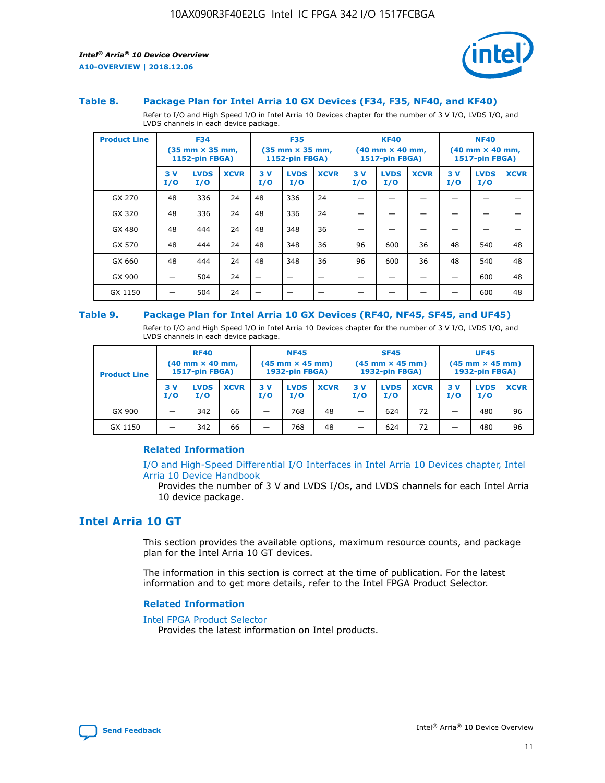

#### **Table 8. Package Plan for Intel Arria 10 GX Devices (F34, F35, NF40, and KF40)**

Refer to I/O and High Speed I/O in Intel Arria 10 Devices chapter for the number of 3 V I/O, LVDS I/O, and LVDS channels in each device package.

| <b>Product Line</b> | <b>F34</b><br>$(35 \text{ mm} \times 35 \text{ mm})$<br><b>1152-pin FBGA)</b> |                    | <b>F35</b><br>$(35 \text{ mm} \times 35 \text{ mm})$<br><b>1152-pin FBGA)</b> |           | <b>KF40</b><br>$(40$ mm $\times$ 40 mm,<br>1517-pin FBGA) |             |           | <b>NF40</b><br>$(40 \text{ mm} \times 40 \text{ mm})$<br>1517-pin FBGA) |             |           |                    |             |
|---------------------|-------------------------------------------------------------------------------|--------------------|-------------------------------------------------------------------------------|-----------|-----------------------------------------------------------|-------------|-----------|-------------------------------------------------------------------------|-------------|-----------|--------------------|-------------|
|                     | 3V<br>I/O                                                                     | <b>LVDS</b><br>I/O | <b>XCVR</b>                                                                   | 3V<br>I/O | <b>LVDS</b><br>I/O                                        | <b>XCVR</b> | 3V<br>I/O | <b>LVDS</b><br>I/O                                                      | <b>XCVR</b> | 3V<br>I/O | <b>LVDS</b><br>I/O | <b>XCVR</b> |
| GX 270              | 48                                                                            | 336                | 24                                                                            | 48        | 336                                                       | 24          |           |                                                                         |             |           |                    |             |
| GX 320              | 48                                                                            | 336                | 24                                                                            | 48        | 336                                                       | 24          |           |                                                                         |             |           |                    |             |
| GX 480              | 48                                                                            | 444                | 24                                                                            | 48        | 348                                                       | 36          |           |                                                                         |             |           |                    |             |
| GX 570              | 48                                                                            | 444                | 24                                                                            | 48        | 348                                                       | 36          | 96        | 600                                                                     | 36          | 48        | 540                | 48          |
| GX 660              | 48                                                                            | 444                | 24                                                                            | 48        | 348                                                       | 36          | 96        | 600                                                                     | 36          | 48        | 540                | 48          |
| GX 900              |                                                                               | 504                | 24                                                                            | –         |                                                           | -           |           |                                                                         |             |           | 600                | 48          |
| GX 1150             |                                                                               | 504                | 24                                                                            |           |                                                           |             |           |                                                                         |             |           | 600                | 48          |

#### **Table 9. Package Plan for Intel Arria 10 GX Devices (RF40, NF45, SF45, and UF45)**

Refer to I/O and High Speed I/O in Intel Arria 10 Devices chapter for the number of 3 V I/O, LVDS I/O, and LVDS channels in each device package.

| <b>Product Line</b> | <b>RF40</b><br>$(40$ mm $\times$ 40 mm,<br>1517-pin FBGA) |                    |             | <b>NF45</b><br>$(45 \text{ mm} \times 45 \text{ mm})$<br><b>1932-pin FBGA)</b> |                    |             | <b>SF45</b><br>$(45 \text{ mm} \times 45 \text{ mm})$<br><b>1932-pin FBGA)</b> |                    |             | <b>UF45</b><br>$(45 \text{ mm} \times 45 \text{ mm})$<br><b>1932-pin FBGA)</b> |                    |             |
|---------------------|-----------------------------------------------------------|--------------------|-------------|--------------------------------------------------------------------------------|--------------------|-------------|--------------------------------------------------------------------------------|--------------------|-------------|--------------------------------------------------------------------------------|--------------------|-------------|
|                     | 3V<br>I/O                                                 | <b>LVDS</b><br>I/O | <b>XCVR</b> | 3 V<br>I/O                                                                     | <b>LVDS</b><br>I/O | <b>XCVR</b> | 3 V<br>I/O                                                                     | <b>LVDS</b><br>I/O | <b>XCVR</b> | 3V<br>I/O                                                                      | <b>LVDS</b><br>I/O | <b>XCVR</b> |
| GX 900              |                                                           | 342                | 66          | _                                                                              | 768                | 48          |                                                                                | 624                | 72          |                                                                                | 480                | 96          |
| GX 1150             |                                                           | 342                | 66          | _                                                                              | 768                | 48          |                                                                                | 624                | 72          |                                                                                | 480                | 96          |

#### **Related Information**

[I/O and High-Speed Differential I/O Interfaces in Intel Arria 10 Devices chapter, Intel](https://www.intel.com/content/www/us/en/programmable/documentation/sam1403482614086.html#sam1403482030321) [Arria 10 Device Handbook](https://www.intel.com/content/www/us/en/programmable/documentation/sam1403482614086.html#sam1403482030321)

Provides the number of 3 V and LVDS I/Os, and LVDS channels for each Intel Arria 10 device package.

## **Intel Arria 10 GT**

This section provides the available options, maximum resource counts, and package plan for the Intel Arria 10 GT devices.

The information in this section is correct at the time of publication. For the latest information and to get more details, refer to the Intel FPGA Product Selector.

#### **Related Information**

#### [Intel FPGA Product Selector](http://www.altera.com/products/selector/psg-selector.html)

Provides the latest information on Intel products.

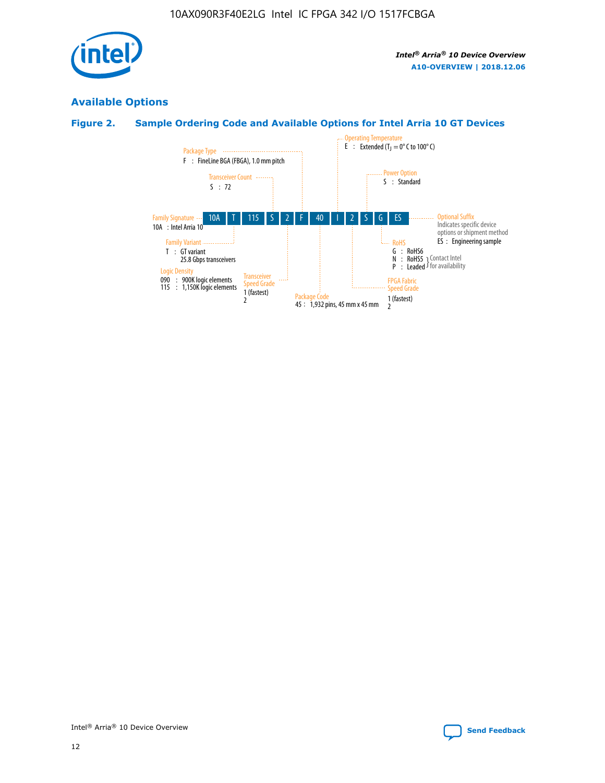

## **Available Options**

## **Figure 2. Sample Ordering Code and Available Options for Intel Arria 10 GT Devices**

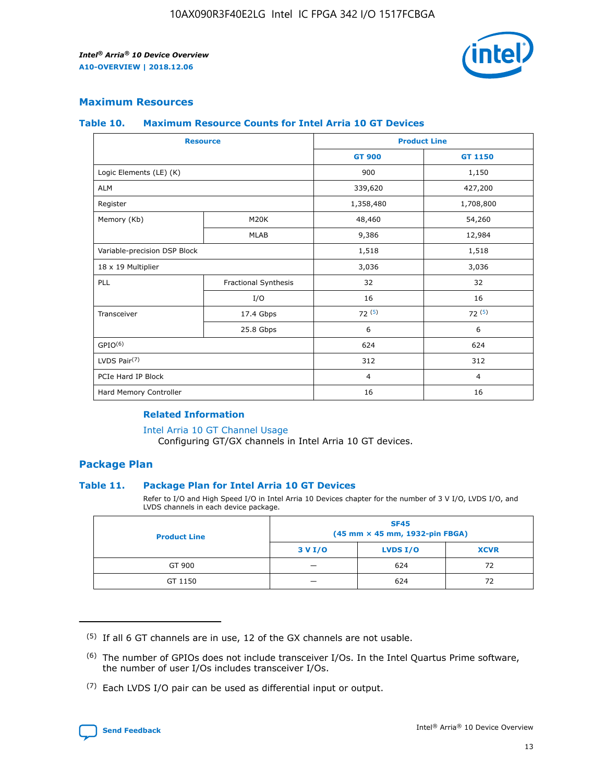

## **Maximum Resources**

#### **Table 10. Maximum Resource Counts for Intel Arria 10 GT Devices**

|                              | <b>Resource</b>      | <b>Product Line</b> |                |  |
|------------------------------|----------------------|---------------------|----------------|--|
|                              |                      | <b>GT 900</b>       | GT 1150        |  |
| Logic Elements (LE) (K)      |                      | 900                 | 1,150          |  |
| <b>ALM</b>                   |                      | 339,620             | 427,200        |  |
| Register                     |                      | 1,358,480           | 1,708,800      |  |
| Memory (Kb)                  | M20K                 | 48,460              | 54,260         |  |
|                              | <b>MLAB</b>          | 9,386               | 12,984         |  |
| Variable-precision DSP Block |                      | 1,518               | 1,518          |  |
| 18 x 19 Multiplier           |                      | 3,036               | 3,036          |  |
| <b>PLL</b>                   | Fractional Synthesis | 32                  | 32             |  |
|                              | I/O                  | 16                  | 16             |  |
| Transceiver                  | 17.4 Gbps            | 72(5)               | 72(5)          |  |
|                              | 25.8 Gbps            | 6                   | 6              |  |
| GPIO <sup>(6)</sup>          |                      | 624                 | 624            |  |
| LVDS Pair $(7)$              |                      | 312                 | 312            |  |
| PCIe Hard IP Block           |                      | $\overline{4}$      | $\overline{4}$ |  |
| Hard Memory Controller       |                      | 16                  | 16             |  |

#### **Related Information**

#### [Intel Arria 10 GT Channel Usage](https://www.intel.com/content/www/us/en/programmable/documentation/nik1398707230472.html#nik1398707008178)

Configuring GT/GX channels in Intel Arria 10 GT devices.

## **Package Plan**

#### **Table 11. Package Plan for Intel Arria 10 GT Devices**

Refer to I/O and High Speed I/O in Intel Arria 10 Devices chapter for the number of 3 V I/O, LVDS I/O, and LVDS channels in each device package.

| <b>Product Line</b> | <b>SF45</b><br>(45 mm × 45 mm, 1932-pin FBGA) |                 |             |  |  |  |
|---------------------|-----------------------------------------------|-----------------|-------------|--|--|--|
|                     | 3 V I/O                                       | <b>LVDS I/O</b> | <b>XCVR</b> |  |  |  |
| GT 900              |                                               | 624             | 72          |  |  |  |
| GT 1150             |                                               | 624             | 72          |  |  |  |

<sup>(7)</sup> Each LVDS I/O pair can be used as differential input or output.



 $(5)$  If all 6 GT channels are in use, 12 of the GX channels are not usable.

<sup>(6)</sup> The number of GPIOs does not include transceiver I/Os. In the Intel Quartus Prime software, the number of user I/Os includes transceiver I/Os.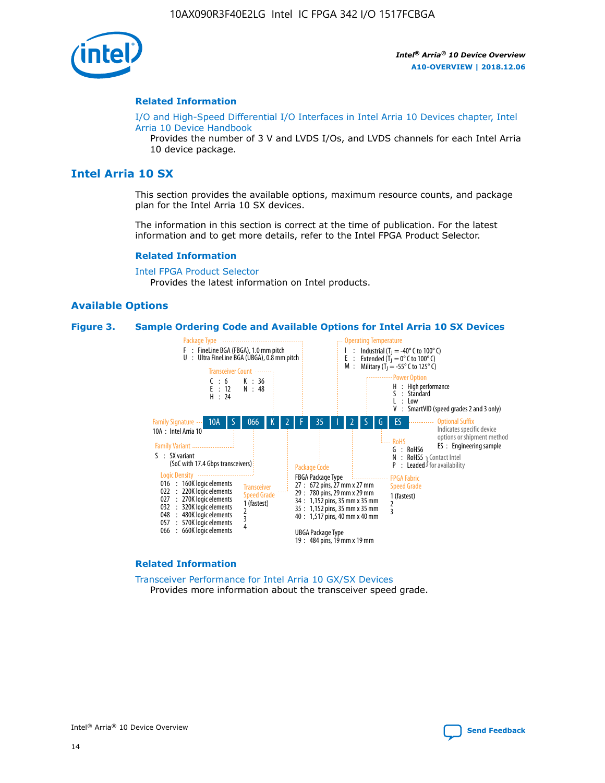

#### **Related Information**

[I/O and High-Speed Differential I/O Interfaces in Intel Arria 10 Devices chapter, Intel](https://www.intel.com/content/www/us/en/programmable/documentation/sam1403482614086.html#sam1403482030321) [Arria 10 Device Handbook](https://www.intel.com/content/www/us/en/programmable/documentation/sam1403482614086.html#sam1403482030321)

Provides the number of 3 V and LVDS I/Os, and LVDS channels for each Intel Arria 10 device package.

## **Intel Arria 10 SX**

This section provides the available options, maximum resource counts, and package plan for the Intel Arria 10 SX devices.

The information in this section is correct at the time of publication. For the latest information and to get more details, refer to the Intel FPGA Product Selector.

#### **Related Information**

[Intel FPGA Product Selector](http://www.altera.com/products/selector/psg-selector.html) Provides the latest information on Intel products.

#### **Available Options**

#### **Figure 3. Sample Ordering Code and Available Options for Intel Arria 10 SX Devices**



#### **Related Information**

[Transceiver Performance for Intel Arria 10 GX/SX Devices](https://www.intel.com/content/www/us/en/programmable/documentation/mcn1413182292568.html#mcn1413213965502) Provides more information about the transceiver speed grade.

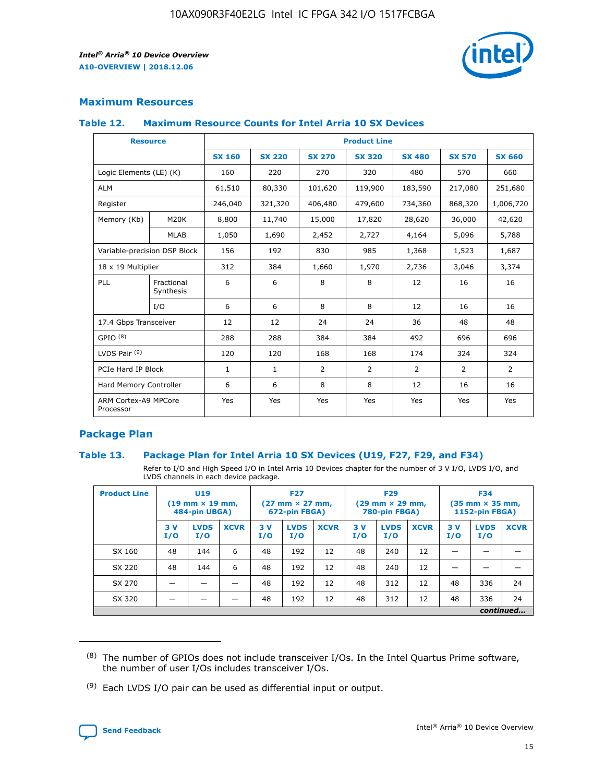

## **Maximum Resources**

#### **Table 12. Maximum Resource Counts for Intel Arria 10 SX Devices**

| <b>Resource</b>                   |                         | <b>Product Line</b> |               |                |                |                |                |                |  |  |  |
|-----------------------------------|-------------------------|---------------------|---------------|----------------|----------------|----------------|----------------|----------------|--|--|--|
|                                   |                         | <b>SX 160</b>       | <b>SX 220</b> | <b>SX 270</b>  | <b>SX 320</b>  | <b>SX 480</b>  | <b>SX 570</b>  | <b>SX 660</b>  |  |  |  |
| Logic Elements (LE) (K)           |                         | 160                 | 220           | 270            | 320            | 480            | 570            | 660            |  |  |  |
| <b>ALM</b>                        |                         | 61,510              | 80,330        | 101,620        | 119,900        | 183,590        | 217,080        | 251,680        |  |  |  |
| Register                          |                         | 246,040             | 321,320       | 406,480        | 479,600        | 734,360        | 868,320        | 1,006,720      |  |  |  |
| Memory (Kb)                       | M <sub>20</sub> K       | 8,800               | 11,740        | 15,000         | 17,820         | 28,620         | 36,000         | 42,620         |  |  |  |
|                                   | <b>MLAB</b>             | 1,050               | 1,690         | 2,452          | 2,727          | 4,164          | 5,096          | 5,788          |  |  |  |
| Variable-precision DSP Block      |                         | 156                 | 192           | 830            | 985            | 1,368          | 1,523          | 1,687          |  |  |  |
| 18 x 19 Multiplier                |                         | 312                 | 384           | 1,660          | 1,970          | 2,736          | 3,046          | 3,374          |  |  |  |
| PLL                               | Fractional<br>Synthesis | 6                   | 6             | 8              | 8              | 12             | 16             | 16             |  |  |  |
|                                   | I/O                     | 6                   | 6             | 8              | 8              | 12             | 16             | 16             |  |  |  |
| 17.4 Gbps Transceiver             |                         | 12                  | 12            | 24             | 24             | 36             | 48             | 48             |  |  |  |
| GPIO <sup>(8)</sup>               |                         | 288                 | 288           | 384            | 384            | 492            | 696            | 696            |  |  |  |
| LVDS Pair $(9)$                   |                         | 120                 | 120           | 168            | 168            | 174            | 324            | 324            |  |  |  |
| PCIe Hard IP Block                |                         | $\mathbf{1}$        | $\mathbf{1}$  | $\overline{2}$ | $\overline{2}$ | $\overline{2}$ | $\overline{2}$ | $\overline{2}$ |  |  |  |
| Hard Memory Controller            |                         | 6                   | 6             | 8              | 8              | 12             | 16             | 16             |  |  |  |
| ARM Cortex-A9 MPCore<br>Processor |                         | Yes                 | Yes           | Yes            | Yes            | Yes            | Yes            | <b>Yes</b>     |  |  |  |

## **Package Plan**

#### **Table 13. Package Plan for Intel Arria 10 SX Devices (U19, F27, F29, and F34)**

Refer to I/O and High Speed I/O in Intel Arria 10 Devices chapter for the number of 3 V I/O, LVDS I/O, and LVDS channels in each device package.

| <b>Product Line</b> | U <sub>19</sub><br>$(19 \text{ mm} \times 19 \text{ mm})$<br>484-pin UBGA) |                    | <b>F27</b><br>$(27 \text{ mm} \times 27 \text{ mm})$<br>672-pin FBGA) |           | <b>F29</b><br>$(29 \text{ mm} \times 29 \text{ mm})$<br>780-pin FBGA) |             |            | <b>F34</b><br>$(35 \text{ mm} \times 35 \text{ mm})$<br><b>1152-pin FBGA)</b> |             |           |                    |             |
|---------------------|----------------------------------------------------------------------------|--------------------|-----------------------------------------------------------------------|-----------|-----------------------------------------------------------------------|-------------|------------|-------------------------------------------------------------------------------|-------------|-----------|--------------------|-------------|
|                     | 3V<br>I/O                                                                  | <b>LVDS</b><br>I/O | <b>XCVR</b>                                                           | 3V<br>I/O | <b>LVDS</b><br>I/O                                                    | <b>XCVR</b> | 3 V<br>I/O | <b>LVDS</b><br>I/O                                                            | <b>XCVR</b> | 3V<br>I/O | <b>LVDS</b><br>I/O | <b>XCVR</b> |
| SX 160              | 48                                                                         | 144                | 6                                                                     | 48        | 192                                                                   | 12          | 48         | 240                                                                           | 12          | –         |                    |             |
| SX 220              | 48                                                                         | 144                | 6                                                                     | 48        | 192                                                                   | 12          | 48         | 240                                                                           | 12          |           |                    |             |
| SX 270              |                                                                            |                    |                                                                       | 48        | 192                                                                   | 12          | 48         | 312                                                                           | 12          | 48        | 336                | 24          |
| SX 320              |                                                                            |                    |                                                                       | 48        | 192                                                                   | 12          | 48         | 312                                                                           | 12          | 48        | 336                | 24          |
|                     | continued                                                                  |                    |                                                                       |           |                                                                       |             |            |                                                                               |             |           |                    |             |

 $(8)$  The number of GPIOs does not include transceiver I/Os. In the Intel Quartus Prime software, the number of user I/Os includes transceiver I/Os.

 $(9)$  Each LVDS I/O pair can be used as differential input or output.

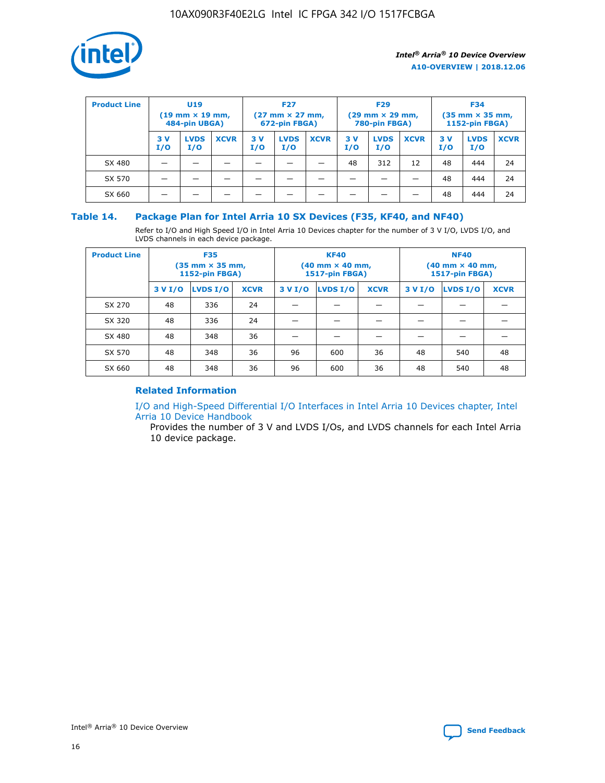

| <b>Product Line</b> | U <sub>19</sub><br>$(19 \text{ mm} \times 19 \text{ mm})$<br>484-pin UBGA) |                    | <b>F27</b><br>$(27 \text{ mm} \times 27 \text{ mm})$<br>672-pin FBGA) |           | <b>F29</b><br>$(29 \text{ mm} \times 29 \text{ mm})$<br>780-pin FBGA) |             |           | <b>F34</b><br>$(35$ mm $\times$ 35 mm,<br><b>1152-pin FBGA)</b> |             |           |                    |             |
|---------------------|----------------------------------------------------------------------------|--------------------|-----------------------------------------------------------------------|-----------|-----------------------------------------------------------------------|-------------|-----------|-----------------------------------------------------------------|-------------|-----------|--------------------|-------------|
|                     | 3V<br>I/O                                                                  | <b>LVDS</b><br>I/O | <b>XCVR</b>                                                           | 3V<br>I/O | <b>LVDS</b><br>I/O                                                    | <b>XCVR</b> | 3V<br>I/O | <b>LVDS</b><br>I/O                                              | <b>XCVR</b> | 3V<br>I/O | <b>LVDS</b><br>I/O | <b>XCVR</b> |
| SX 480              |                                                                            |                    |                                                                       |           |                                                                       |             | 48        | 312                                                             | 12          | 48        | 444                | 24          |
| SX 570              |                                                                            |                    |                                                                       |           |                                                                       |             |           |                                                                 |             | 48        | 444                | 24          |
| SX 660              |                                                                            |                    |                                                                       |           |                                                                       |             |           |                                                                 |             | 48        | 444                | 24          |

## **Table 14. Package Plan for Intel Arria 10 SX Devices (F35, KF40, and NF40)**

Refer to I/O and High Speed I/O in Intel Arria 10 Devices chapter for the number of 3 V I/O, LVDS I/O, and LVDS channels in each device package.

| <b>Product Line</b> | <b>F35</b><br>(35 mm × 35 mm,<br><b>1152-pin FBGA)</b> |          |             |                                           | <b>KF40</b><br>(40 mm × 40 mm,<br>1517-pin FBGA) |    | <b>NF40</b><br>$(40 \text{ mm} \times 40 \text{ mm})$<br>1517-pin FBGA) |          |             |  |
|---------------------|--------------------------------------------------------|----------|-------------|-------------------------------------------|--------------------------------------------------|----|-------------------------------------------------------------------------|----------|-------------|--|
|                     | 3 V I/O                                                | LVDS I/O | <b>XCVR</b> | <b>LVDS I/O</b><br>3 V I/O<br><b>XCVR</b> |                                                  |    | 3 V I/O                                                                 | LVDS I/O | <b>XCVR</b> |  |
| SX 270              | 48                                                     | 336      | 24          |                                           |                                                  |    |                                                                         |          |             |  |
| SX 320              | 48                                                     | 336      | 24          |                                           |                                                  |    |                                                                         |          |             |  |
| SX 480              | 48                                                     | 348      | 36          |                                           |                                                  |    |                                                                         |          |             |  |
| SX 570              | 48                                                     | 348      | 36          | 96                                        | 600                                              | 36 | 48                                                                      | 540      | 48          |  |
| SX 660              | 48                                                     | 348      | 36          | 96                                        | 600                                              | 36 | 48                                                                      | 540      | 48          |  |

## **Related Information**

[I/O and High-Speed Differential I/O Interfaces in Intel Arria 10 Devices chapter, Intel](https://www.intel.com/content/www/us/en/programmable/documentation/sam1403482614086.html#sam1403482030321) [Arria 10 Device Handbook](https://www.intel.com/content/www/us/en/programmable/documentation/sam1403482614086.html#sam1403482030321)

Provides the number of 3 V and LVDS I/Os, and LVDS channels for each Intel Arria 10 device package.

Intel<sup>®</sup> Arria<sup>®</sup> 10 Device Overview **[Send Feedback](mailto:FPGAtechdocfeedback@intel.com?subject=Feedback%20on%20Intel%20Arria%2010%20Device%20Overview%20(A10-OVERVIEW%202018.12.06)&body=We%20appreciate%20your%20feedback.%20In%20your%20comments,%20also%20specify%20the%20page%20number%20or%20paragraph.%20Thank%20you.)** Send Feedback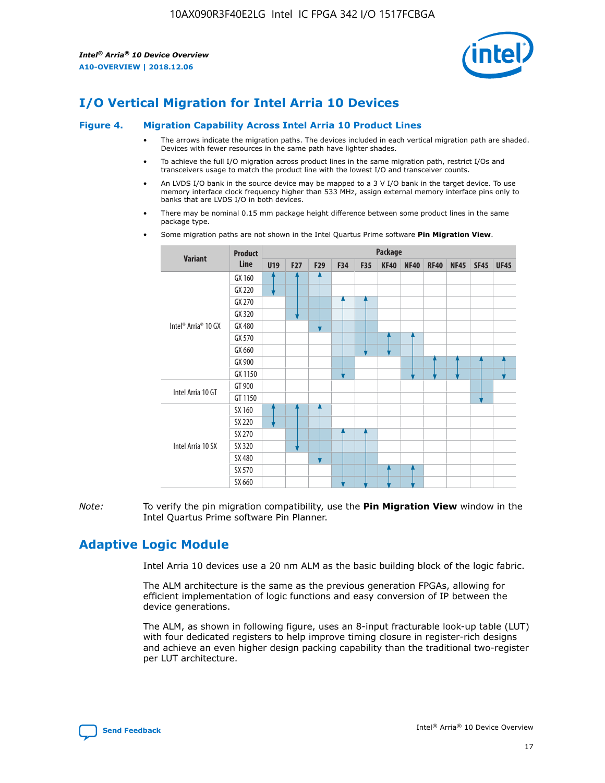

## **I/O Vertical Migration for Intel Arria 10 Devices**

#### **Figure 4. Migration Capability Across Intel Arria 10 Product Lines**

- The arrows indicate the migration paths. The devices included in each vertical migration path are shaded. Devices with fewer resources in the same path have lighter shades.
- To achieve the full I/O migration across product lines in the same migration path, restrict I/Os and transceivers usage to match the product line with the lowest I/O and transceiver counts.
- An LVDS I/O bank in the source device may be mapped to a 3 V I/O bank in the target device. To use memory interface clock frequency higher than 533 MHz, assign external memory interface pins only to banks that are LVDS I/O in both devices.
- There may be nominal 0.15 mm package height difference between some product lines in the same package type.
	- **Variant Product Line Package U19 F27 F29 F34 F35 KF40 NF40 RF40 NF45 SF45 UF45** Intel® Arria® 10 GX GX 160 GX 220 GX 270 GX 320 GX 480 GX 570 GX 660 GX 900 GX 1150 Intel Arria 10 GT GT 900 GT 1150 Intel Arria 10 SX SX 160 SX 220 SX 270 SX 320 SX 480 SX 570 SX 660
- Some migration paths are not shown in the Intel Quartus Prime software **Pin Migration View**.

*Note:* To verify the pin migration compatibility, use the **Pin Migration View** window in the Intel Quartus Prime software Pin Planner.

## **Adaptive Logic Module**

Intel Arria 10 devices use a 20 nm ALM as the basic building block of the logic fabric.

The ALM architecture is the same as the previous generation FPGAs, allowing for efficient implementation of logic functions and easy conversion of IP between the device generations.

The ALM, as shown in following figure, uses an 8-input fracturable look-up table (LUT) with four dedicated registers to help improve timing closure in register-rich designs and achieve an even higher design packing capability than the traditional two-register per LUT architecture.

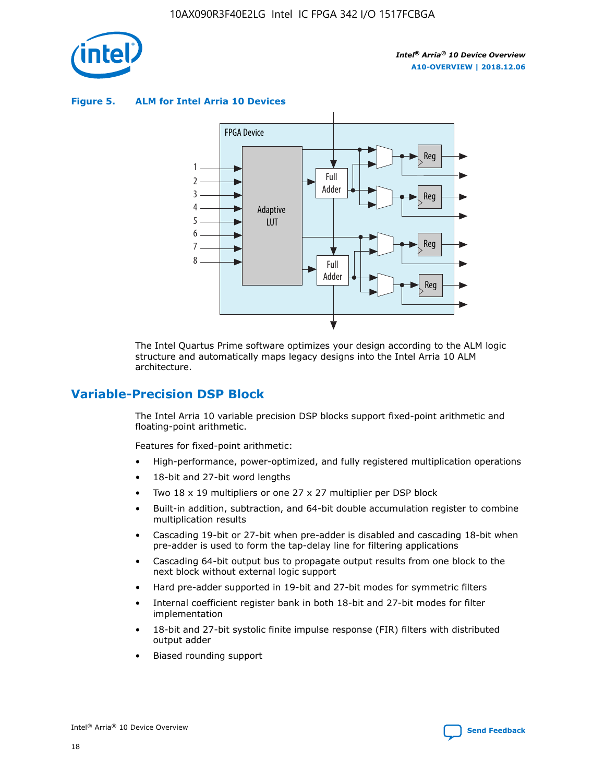

**Figure 5. ALM for Intel Arria 10 Devices**



The Intel Quartus Prime software optimizes your design according to the ALM logic structure and automatically maps legacy designs into the Intel Arria 10 ALM architecture.

## **Variable-Precision DSP Block**

The Intel Arria 10 variable precision DSP blocks support fixed-point arithmetic and floating-point arithmetic.

Features for fixed-point arithmetic:

- High-performance, power-optimized, and fully registered multiplication operations
- 18-bit and 27-bit word lengths
- Two 18 x 19 multipliers or one 27 x 27 multiplier per DSP block
- Built-in addition, subtraction, and 64-bit double accumulation register to combine multiplication results
- Cascading 19-bit or 27-bit when pre-adder is disabled and cascading 18-bit when pre-adder is used to form the tap-delay line for filtering applications
- Cascading 64-bit output bus to propagate output results from one block to the next block without external logic support
- Hard pre-adder supported in 19-bit and 27-bit modes for symmetric filters
- Internal coefficient register bank in both 18-bit and 27-bit modes for filter implementation
- 18-bit and 27-bit systolic finite impulse response (FIR) filters with distributed output adder
- Biased rounding support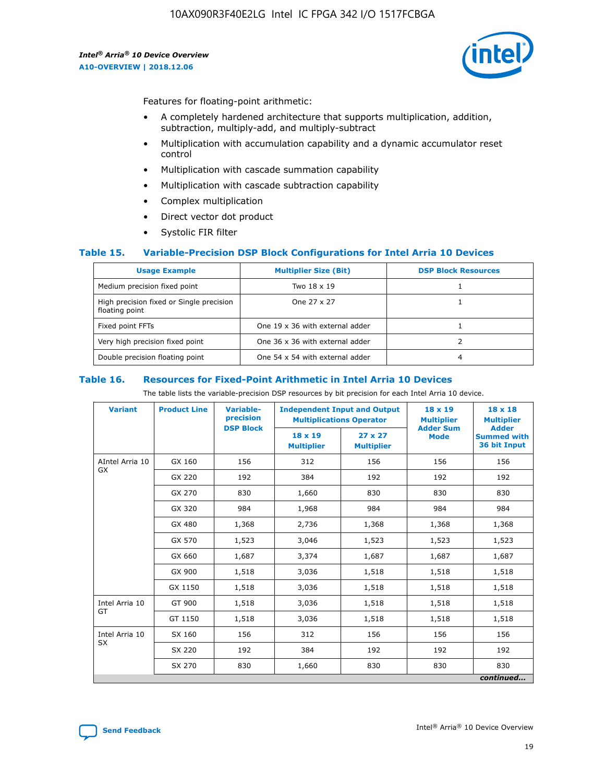

Features for floating-point arithmetic:

- A completely hardened architecture that supports multiplication, addition, subtraction, multiply-add, and multiply-subtract
- Multiplication with accumulation capability and a dynamic accumulator reset control
- Multiplication with cascade summation capability
- Multiplication with cascade subtraction capability
- Complex multiplication
- Direct vector dot product
- Systolic FIR filter

#### **Table 15. Variable-Precision DSP Block Configurations for Intel Arria 10 Devices**

| <b>Usage Example</b>                                       | <b>Multiplier Size (Bit)</b>    | <b>DSP Block Resources</b> |
|------------------------------------------------------------|---------------------------------|----------------------------|
| Medium precision fixed point                               | Two 18 x 19                     |                            |
| High precision fixed or Single precision<br>floating point | One 27 x 27                     |                            |
| Fixed point FFTs                                           | One 19 x 36 with external adder |                            |
| Very high precision fixed point                            | One 36 x 36 with external adder |                            |
| Double precision floating point                            | One 54 x 54 with external adder | 4                          |

#### **Table 16. Resources for Fixed-Point Arithmetic in Intel Arria 10 Devices**

The table lists the variable-precision DSP resources by bit precision for each Intel Arria 10 device.

| <b>Variant</b>  | <b>Product Line</b> | Variable-<br>precision<br><b>DSP Block</b> | <b>Independent Input and Output</b><br><b>Multiplications Operator</b> |                                     | 18 x 19<br><b>Multiplier</b><br><b>Adder Sum</b> | $18 \times 18$<br><b>Multiplier</b><br><b>Adder</b> |
|-----------------|---------------------|--------------------------------------------|------------------------------------------------------------------------|-------------------------------------|--------------------------------------------------|-----------------------------------------------------|
|                 |                     |                                            | 18 x 19<br><b>Multiplier</b>                                           | $27 \times 27$<br><b>Multiplier</b> | <b>Mode</b>                                      | <b>Summed with</b><br>36 bit Input                  |
| AIntel Arria 10 | GX 160              | 156                                        | 312                                                                    | 156                                 | 156                                              | 156                                                 |
| GX              | GX 220              | 192                                        | 384                                                                    | 192                                 | 192                                              | 192                                                 |
|                 | GX 270              | 830                                        | 1,660                                                                  | 830                                 | 830                                              | 830                                                 |
|                 | GX 320              | 984                                        | 1,968                                                                  | 984                                 | 984                                              | 984                                                 |
|                 | GX 480              | 1,368                                      | 2,736                                                                  | 1,368                               | 1,368                                            | 1,368                                               |
|                 | GX 570              | 1,523                                      | 3,046                                                                  | 1,523                               | 1,523                                            | 1,523                                               |
|                 | GX 660              | 1,687                                      | 3,374                                                                  | 1,687                               | 1,687                                            | 1,687                                               |
|                 | GX 900              | 1,518                                      | 3,036                                                                  | 1,518                               | 1,518                                            | 1,518                                               |
|                 | GX 1150             | 1,518                                      | 3,036                                                                  | 1,518                               | 1,518                                            | 1,518                                               |
| Intel Arria 10  | GT 900              | 1,518                                      | 3,036                                                                  | 1,518                               | 1,518                                            | 1,518                                               |
| GT              | GT 1150             | 1,518                                      | 3,036                                                                  | 1,518                               | 1,518                                            | 1,518                                               |
| Intel Arria 10  | SX 160              | 156                                        | 312                                                                    | 156                                 | 156                                              | 156                                                 |
| <b>SX</b>       | SX 220              | 192                                        | 384                                                                    | 192                                 | 192                                              | 192                                                 |
|                 | SX 270              | 830                                        | 1,660                                                                  | 830                                 | 830                                              | 830                                                 |
|                 |                     |                                            |                                                                        |                                     |                                                  | continued                                           |

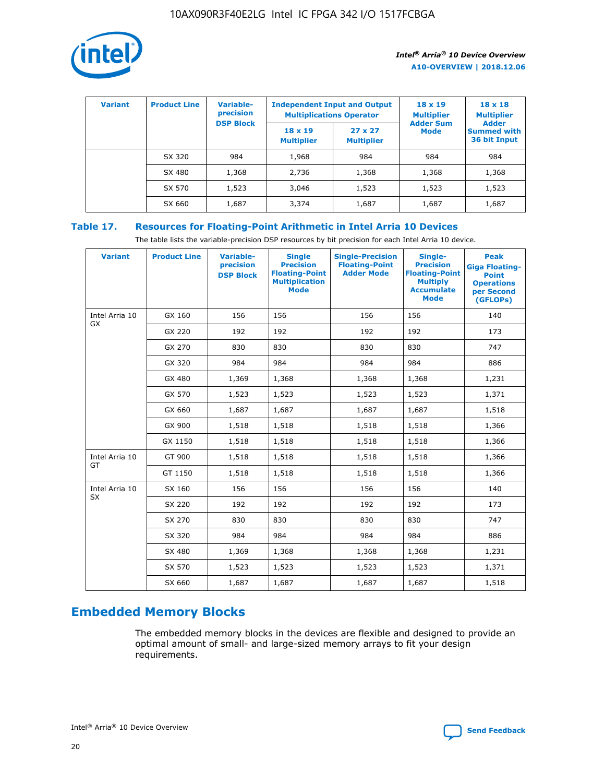

| <b>Variant</b> | <b>Product Line</b> | <b>Variable-</b><br>precision<br><b>DSP Block</b> | <b>Independent Input and Output</b><br><b>Multiplications Operator</b> |                                     | $18 \times 19$<br><b>Multiplier</b><br><b>Adder Sum</b> | $18 \times 18$<br><b>Multiplier</b><br><b>Adder</b> |  |
|----------------|---------------------|---------------------------------------------------|------------------------------------------------------------------------|-------------------------------------|---------------------------------------------------------|-----------------------------------------------------|--|
|                |                     |                                                   | $18 \times 19$<br><b>Multiplier</b>                                    | $27 \times 27$<br><b>Multiplier</b> | <b>Mode</b>                                             | <b>Summed with</b><br>36 bit Input                  |  |
|                | SX 320              | 984                                               | 1,968                                                                  | 984                                 | 984                                                     | 984                                                 |  |
|                | SX 480              | 1,368                                             | 2,736                                                                  | 1,368                               | 1,368                                                   | 1,368                                               |  |
|                | SX 570              | 1,523                                             | 3,046                                                                  | 1,523                               | 1,523                                                   | 1,523                                               |  |
|                | SX 660              | 1,687                                             | 3,374                                                                  | 1,687                               | 1,687                                                   | 1,687                                               |  |

## **Table 17. Resources for Floating-Point Arithmetic in Intel Arria 10 Devices**

The table lists the variable-precision DSP resources by bit precision for each Intel Arria 10 device.

| <b>Variant</b> | <b>Product Line</b> | <b>Variable-</b><br>precision<br><b>DSP Block</b> | <b>Single</b><br><b>Precision</b><br><b>Floating-Point</b><br><b>Multiplication</b><br><b>Mode</b> | <b>Single-Precision</b><br><b>Floating-Point</b><br><b>Adder Mode</b> | Single-<br><b>Precision</b><br><b>Floating-Point</b><br><b>Multiply</b><br><b>Accumulate</b><br><b>Mode</b> | <b>Peak</b><br><b>Giga Floating-</b><br><b>Point</b><br><b>Operations</b><br>per Second<br>(GFLOPs) |
|----------------|---------------------|---------------------------------------------------|----------------------------------------------------------------------------------------------------|-----------------------------------------------------------------------|-------------------------------------------------------------------------------------------------------------|-----------------------------------------------------------------------------------------------------|
| Intel Arria 10 | GX 160              | 156                                               | 156                                                                                                | 156                                                                   | 156                                                                                                         | 140                                                                                                 |
| GX             | GX 220              | 192                                               | 192                                                                                                | 192                                                                   | 192                                                                                                         | 173                                                                                                 |
|                | GX 270              | 830                                               | 830                                                                                                | 830                                                                   | 830                                                                                                         | 747                                                                                                 |
|                | GX 320              | 984                                               | 984                                                                                                | 984                                                                   | 984                                                                                                         | 886                                                                                                 |
|                | GX 480              | 1,369                                             | 1,368                                                                                              | 1,368                                                                 | 1,368                                                                                                       | 1,231                                                                                               |
|                | GX 570              | 1,523                                             | 1,523                                                                                              | 1,523                                                                 | 1,523                                                                                                       | 1,371                                                                                               |
|                | GX 660              | 1,687                                             | 1,687                                                                                              | 1,687                                                                 | 1,687                                                                                                       | 1,518                                                                                               |
|                | GX 900              | 1,518                                             | 1,518                                                                                              | 1,518                                                                 | 1,518                                                                                                       | 1,366                                                                                               |
|                | GX 1150             | 1,518                                             | 1,518                                                                                              | 1,518                                                                 | 1,518                                                                                                       | 1,366                                                                                               |
| Intel Arria 10 | GT 900              | 1,518                                             | 1,518                                                                                              | 1,518                                                                 | 1,518                                                                                                       | 1,366                                                                                               |
| GT             | GT 1150             | 1,518                                             | 1,518                                                                                              | 1,518                                                                 | 1,518                                                                                                       | 1,366                                                                                               |
| Intel Arria 10 | SX 160              | 156                                               | 156                                                                                                | 156                                                                   | 156                                                                                                         | 140                                                                                                 |
| SX             | SX 220              | 192                                               | 192                                                                                                | 192                                                                   | 192                                                                                                         | 173                                                                                                 |
|                | SX 270              | 830                                               | 830                                                                                                | 830                                                                   | 830                                                                                                         | 747                                                                                                 |
|                | SX 320              | 984                                               | 984                                                                                                | 984                                                                   | 984                                                                                                         | 886                                                                                                 |
|                | SX 480              | 1,369                                             | 1,368                                                                                              | 1,368                                                                 | 1,368                                                                                                       | 1,231                                                                                               |
|                | SX 570              | 1,523                                             | 1,523                                                                                              | 1,523                                                                 | 1,523                                                                                                       | 1,371                                                                                               |
|                | SX 660              | 1,687                                             | 1,687                                                                                              | 1,687                                                                 | 1,687                                                                                                       | 1,518                                                                                               |

# **Embedded Memory Blocks**

The embedded memory blocks in the devices are flexible and designed to provide an optimal amount of small- and large-sized memory arrays to fit your design requirements.

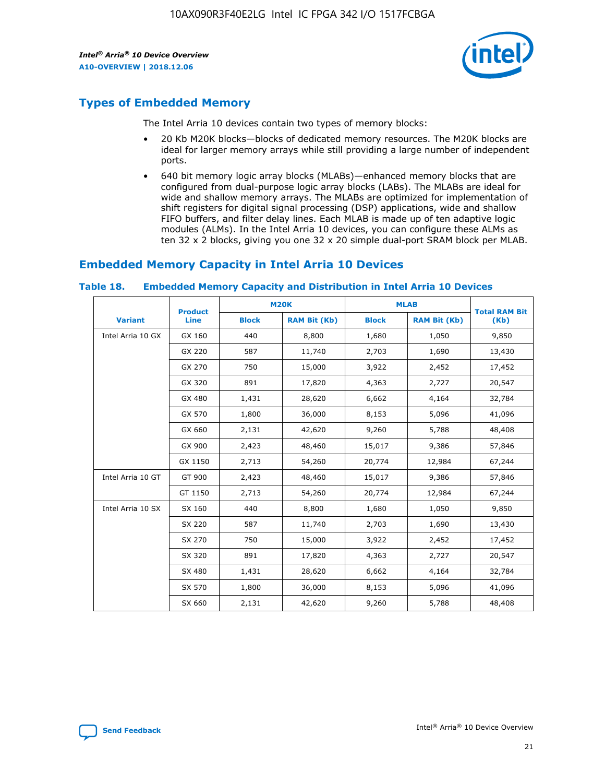

## **Types of Embedded Memory**

The Intel Arria 10 devices contain two types of memory blocks:

- 20 Kb M20K blocks—blocks of dedicated memory resources. The M20K blocks are ideal for larger memory arrays while still providing a large number of independent ports.
- 640 bit memory logic array blocks (MLABs)—enhanced memory blocks that are configured from dual-purpose logic array blocks (LABs). The MLABs are ideal for wide and shallow memory arrays. The MLABs are optimized for implementation of shift registers for digital signal processing (DSP) applications, wide and shallow FIFO buffers, and filter delay lines. Each MLAB is made up of ten adaptive logic modules (ALMs). In the Intel Arria 10 devices, you can configure these ALMs as ten 32 x 2 blocks, giving you one 32 x 20 simple dual-port SRAM block per MLAB.

## **Embedded Memory Capacity in Intel Arria 10 Devices**

|                   | <b>Product</b> |              | <b>M20K</b>         | <b>MLAB</b>  |                     | <b>Total RAM Bit</b> |
|-------------------|----------------|--------------|---------------------|--------------|---------------------|----------------------|
| <b>Variant</b>    | Line           | <b>Block</b> | <b>RAM Bit (Kb)</b> | <b>Block</b> | <b>RAM Bit (Kb)</b> | (Kb)                 |
| Intel Arria 10 GX | GX 160         | 440          | 8,800               | 1,680        | 1,050               | 9,850                |
|                   | GX 220         | 587          | 11,740              | 2,703        | 1,690               | 13,430               |
|                   | GX 270         | 750          | 15,000              | 3,922        | 2,452               | 17,452               |
|                   | GX 320         | 891          | 17,820              | 4,363        | 2,727               | 20,547               |
|                   | GX 480         | 1,431        | 28,620              | 6,662        | 4,164               | 32,784               |
|                   | GX 570         | 1,800        | 36,000              | 8,153        | 5,096               | 41,096               |
|                   | GX 660         | 2,131        | 42,620              | 9,260        | 5,788               | 48,408               |
|                   | GX 900         | 2,423        | 48,460              | 15,017       | 9,386               | 57,846               |
|                   | GX 1150        | 2,713        | 54,260              | 20,774       | 12,984              | 67,244               |
| Intel Arria 10 GT | GT 900         | 2,423        | 48,460              | 15,017       | 9,386               | 57,846               |
|                   | GT 1150        | 2,713        | 54,260              | 20,774       | 12,984              | 67,244               |
| Intel Arria 10 SX | SX 160         | 440          | 8,800               | 1,680        | 1,050               | 9,850                |
|                   | SX 220         | 587          | 11,740              | 2,703        | 1,690               | 13,430               |
|                   | SX 270         | 750          | 15,000              | 3,922        | 2,452               | 17,452               |
|                   | SX 320         | 891          | 17,820              | 4,363        | 2,727               | 20,547               |
|                   | SX 480         | 1,431        | 28,620              | 6,662        | 4,164               | 32,784               |
|                   | SX 570         | 1,800        | 36,000              | 8,153        | 5,096               | 41,096               |
|                   | SX 660         | 2,131        | 42,620              | 9,260        | 5,788               | 48,408               |

#### **Table 18. Embedded Memory Capacity and Distribution in Intel Arria 10 Devices**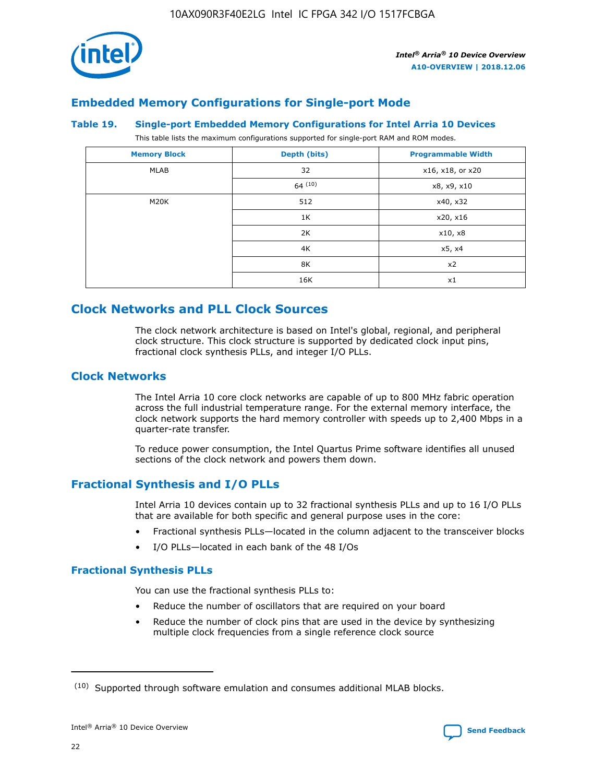

## **Embedded Memory Configurations for Single-port Mode**

#### **Table 19. Single-port Embedded Memory Configurations for Intel Arria 10 Devices**

This table lists the maximum configurations supported for single-port RAM and ROM modes.

| <b>Memory Block</b> | Depth (bits) | <b>Programmable Width</b> |
|---------------------|--------------|---------------------------|
| MLAB                | 32           | x16, x18, or x20          |
|                     | 64(10)       | x8, x9, x10               |
| M20K                | 512          | x40, x32                  |
|                     | 1K           | x20, x16                  |
|                     | 2K           | x10, x8                   |
|                     | 4K           | x5, x4                    |
|                     | 8K           | x2                        |
|                     | 16K          | x1                        |

## **Clock Networks and PLL Clock Sources**

The clock network architecture is based on Intel's global, regional, and peripheral clock structure. This clock structure is supported by dedicated clock input pins, fractional clock synthesis PLLs, and integer I/O PLLs.

## **Clock Networks**

The Intel Arria 10 core clock networks are capable of up to 800 MHz fabric operation across the full industrial temperature range. For the external memory interface, the clock network supports the hard memory controller with speeds up to 2,400 Mbps in a quarter-rate transfer.

To reduce power consumption, the Intel Quartus Prime software identifies all unused sections of the clock network and powers them down.

## **Fractional Synthesis and I/O PLLs**

Intel Arria 10 devices contain up to 32 fractional synthesis PLLs and up to 16 I/O PLLs that are available for both specific and general purpose uses in the core:

- Fractional synthesis PLLs—located in the column adjacent to the transceiver blocks
- I/O PLLs—located in each bank of the 48 I/Os

## **Fractional Synthesis PLLs**

You can use the fractional synthesis PLLs to:

- Reduce the number of oscillators that are required on your board
- Reduce the number of clock pins that are used in the device by synthesizing multiple clock frequencies from a single reference clock source

<sup>(10)</sup> Supported through software emulation and consumes additional MLAB blocks.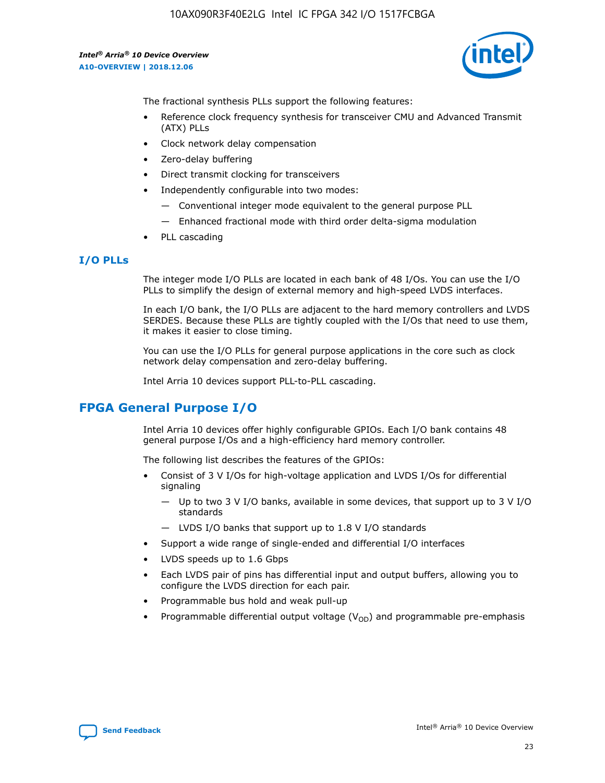10AX090R3F40E2LG Intel IC FPGA 342 I/O 1517FCBGA

*Intel® Arria® 10 Device Overview* **A10-OVERVIEW | 2018.12.06**



The fractional synthesis PLLs support the following features:

- Reference clock frequency synthesis for transceiver CMU and Advanced Transmit (ATX) PLLs
- Clock network delay compensation
- Zero-delay buffering
- Direct transmit clocking for transceivers
- Independently configurable into two modes:
	- Conventional integer mode equivalent to the general purpose PLL
	- Enhanced fractional mode with third order delta-sigma modulation
- PLL cascading

## **I/O PLLs**

The integer mode I/O PLLs are located in each bank of 48 I/Os. You can use the I/O PLLs to simplify the design of external memory and high-speed LVDS interfaces.

In each I/O bank, the I/O PLLs are adjacent to the hard memory controllers and LVDS SERDES. Because these PLLs are tightly coupled with the I/Os that need to use them, it makes it easier to close timing.

You can use the I/O PLLs for general purpose applications in the core such as clock network delay compensation and zero-delay buffering.

Intel Arria 10 devices support PLL-to-PLL cascading.

## **FPGA General Purpose I/O**

Intel Arria 10 devices offer highly configurable GPIOs. Each I/O bank contains 48 general purpose I/Os and a high-efficiency hard memory controller.

The following list describes the features of the GPIOs:

- Consist of 3 V I/Os for high-voltage application and LVDS I/Os for differential signaling
	- Up to two 3 V I/O banks, available in some devices, that support up to 3 V I/O standards
	- LVDS I/O banks that support up to 1.8 V I/O standards
- Support a wide range of single-ended and differential I/O interfaces
- LVDS speeds up to 1.6 Gbps
- Each LVDS pair of pins has differential input and output buffers, allowing you to configure the LVDS direction for each pair.
- Programmable bus hold and weak pull-up
- Programmable differential output voltage  $(V_{OD})$  and programmable pre-emphasis

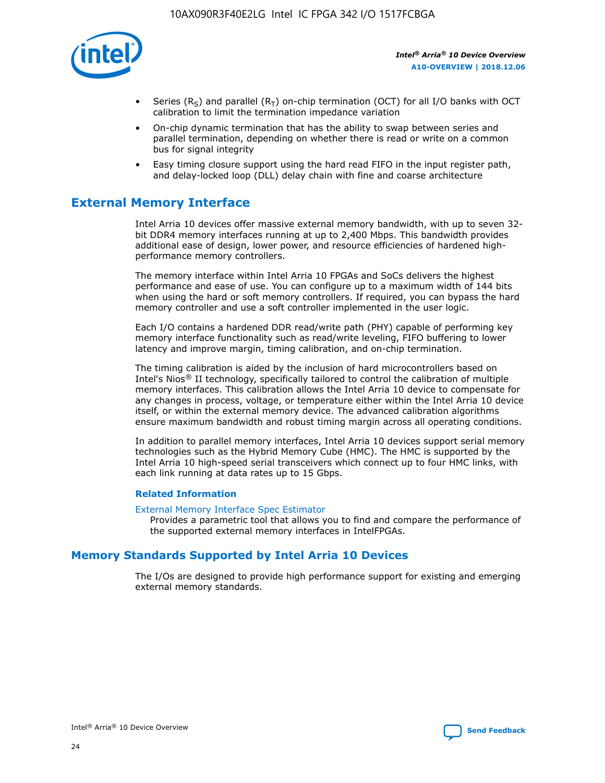

- Series (R<sub>S</sub>) and parallel (R<sub>T</sub>) on-chip termination (OCT) for all I/O banks with OCT calibration to limit the termination impedance variation
- On-chip dynamic termination that has the ability to swap between series and parallel termination, depending on whether there is read or write on a common bus for signal integrity
- Easy timing closure support using the hard read FIFO in the input register path, and delay-locked loop (DLL) delay chain with fine and coarse architecture

## **External Memory Interface**

Intel Arria 10 devices offer massive external memory bandwidth, with up to seven 32 bit DDR4 memory interfaces running at up to 2,400 Mbps. This bandwidth provides additional ease of design, lower power, and resource efficiencies of hardened highperformance memory controllers.

The memory interface within Intel Arria 10 FPGAs and SoCs delivers the highest performance and ease of use. You can configure up to a maximum width of 144 bits when using the hard or soft memory controllers. If required, you can bypass the hard memory controller and use a soft controller implemented in the user logic.

Each I/O contains a hardened DDR read/write path (PHY) capable of performing key memory interface functionality such as read/write leveling, FIFO buffering to lower latency and improve margin, timing calibration, and on-chip termination.

The timing calibration is aided by the inclusion of hard microcontrollers based on Intel's Nios® II technology, specifically tailored to control the calibration of multiple memory interfaces. This calibration allows the Intel Arria 10 device to compensate for any changes in process, voltage, or temperature either within the Intel Arria 10 device itself, or within the external memory device. The advanced calibration algorithms ensure maximum bandwidth and robust timing margin across all operating conditions.

In addition to parallel memory interfaces, Intel Arria 10 devices support serial memory technologies such as the Hybrid Memory Cube (HMC). The HMC is supported by the Intel Arria 10 high-speed serial transceivers which connect up to four HMC links, with each link running at data rates up to 15 Gbps.

#### **Related Information**

#### [External Memory Interface Spec Estimator](http://www.altera.com/technology/memory/estimator/mem-emif-index.html)

Provides a parametric tool that allows you to find and compare the performance of the supported external memory interfaces in IntelFPGAs.

## **Memory Standards Supported by Intel Arria 10 Devices**

The I/Os are designed to provide high performance support for existing and emerging external memory standards.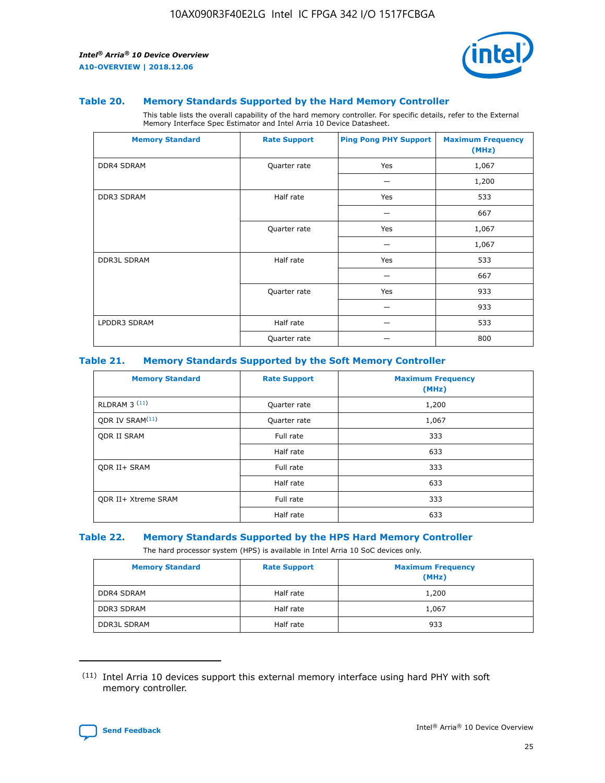

#### **Table 20. Memory Standards Supported by the Hard Memory Controller**

This table lists the overall capability of the hard memory controller. For specific details, refer to the External Memory Interface Spec Estimator and Intel Arria 10 Device Datasheet.

| <b>Memory Standard</b> | <b>Rate Support</b> | <b>Ping Pong PHY Support</b> | <b>Maximum Frequency</b><br>(MHz) |
|------------------------|---------------------|------------------------------|-----------------------------------|
| <b>DDR4 SDRAM</b>      | Quarter rate        | Yes                          | 1,067                             |
|                        |                     |                              | 1,200                             |
| DDR3 SDRAM             | Half rate           | Yes                          | 533                               |
|                        |                     |                              | 667                               |
|                        | Quarter rate        | Yes                          | 1,067                             |
|                        |                     |                              | 1,067                             |
| <b>DDR3L SDRAM</b>     | Half rate           | Yes                          | 533                               |
|                        |                     |                              | 667                               |
|                        | Quarter rate        | Yes                          | 933                               |
|                        |                     |                              | 933                               |
| LPDDR3 SDRAM           | Half rate           |                              | 533                               |
|                        | Quarter rate        |                              | 800                               |

#### **Table 21. Memory Standards Supported by the Soft Memory Controller**

| <b>Memory Standard</b>      | <b>Rate Support</b> | <b>Maximum Frequency</b><br>(MHz) |
|-----------------------------|---------------------|-----------------------------------|
| <b>RLDRAM 3 (11)</b>        | Quarter rate        | 1,200                             |
| ODR IV SRAM <sup>(11)</sup> | Quarter rate        | 1,067                             |
| <b>ODR II SRAM</b>          | Full rate           | 333                               |
|                             | Half rate           | 633                               |
| <b>ODR II+ SRAM</b>         | Full rate           | 333                               |
|                             | Half rate           | 633                               |
| <b>ODR II+ Xtreme SRAM</b>  | Full rate           | 333                               |
|                             | Half rate           | 633                               |

#### **Table 22. Memory Standards Supported by the HPS Hard Memory Controller**

The hard processor system (HPS) is available in Intel Arria 10 SoC devices only.

| <b>Memory Standard</b> | <b>Rate Support</b> | <b>Maximum Frequency</b><br>(MHz) |
|------------------------|---------------------|-----------------------------------|
| <b>DDR4 SDRAM</b>      | Half rate           | 1,200                             |
| <b>DDR3 SDRAM</b>      | Half rate           | 1,067                             |
| <b>DDR3L SDRAM</b>     | Half rate           | 933                               |

<sup>(11)</sup> Intel Arria 10 devices support this external memory interface using hard PHY with soft memory controller.

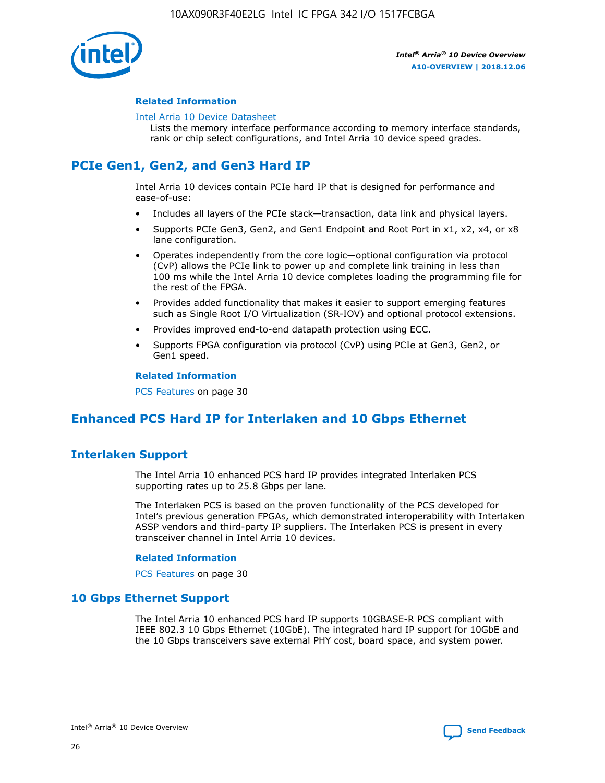

#### **Related Information**

#### [Intel Arria 10 Device Datasheet](https://www.intel.com/content/www/us/en/programmable/documentation/mcn1413182292568.html#mcn1413182153340)

Lists the memory interface performance according to memory interface standards, rank or chip select configurations, and Intel Arria 10 device speed grades.

## **PCIe Gen1, Gen2, and Gen3 Hard IP**

Intel Arria 10 devices contain PCIe hard IP that is designed for performance and ease-of-use:

- Includes all layers of the PCIe stack—transaction, data link and physical layers.
- Supports PCIe Gen3, Gen2, and Gen1 Endpoint and Root Port in x1, x2, x4, or x8 lane configuration.
- Operates independently from the core logic—optional configuration via protocol (CvP) allows the PCIe link to power up and complete link training in less than 100 ms while the Intel Arria 10 device completes loading the programming file for the rest of the FPGA.
- Provides added functionality that makes it easier to support emerging features such as Single Root I/O Virtualization (SR-IOV) and optional protocol extensions.
- Provides improved end-to-end datapath protection using ECC.
- Supports FPGA configuration via protocol (CvP) using PCIe at Gen3, Gen2, or Gen1 speed.

#### **Related Information**

PCS Features on page 30

## **Enhanced PCS Hard IP for Interlaken and 10 Gbps Ethernet**

## **Interlaken Support**

The Intel Arria 10 enhanced PCS hard IP provides integrated Interlaken PCS supporting rates up to 25.8 Gbps per lane.

The Interlaken PCS is based on the proven functionality of the PCS developed for Intel's previous generation FPGAs, which demonstrated interoperability with Interlaken ASSP vendors and third-party IP suppliers. The Interlaken PCS is present in every transceiver channel in Intel Arria 10 devices.

#### **Related Information**

PCS Features on page 30

## **10 Gbps Ethernet Support**

The Intel Arria 10 enhanced PCS hard IP supports 10GBASE-R PCS compliant with IEEE 802.3 10 Gbps Ethernet (10GbE). The integrated hard IP support for 10GbE and the 10 Gbps transceivers save external PHY cost, board space, and system power.

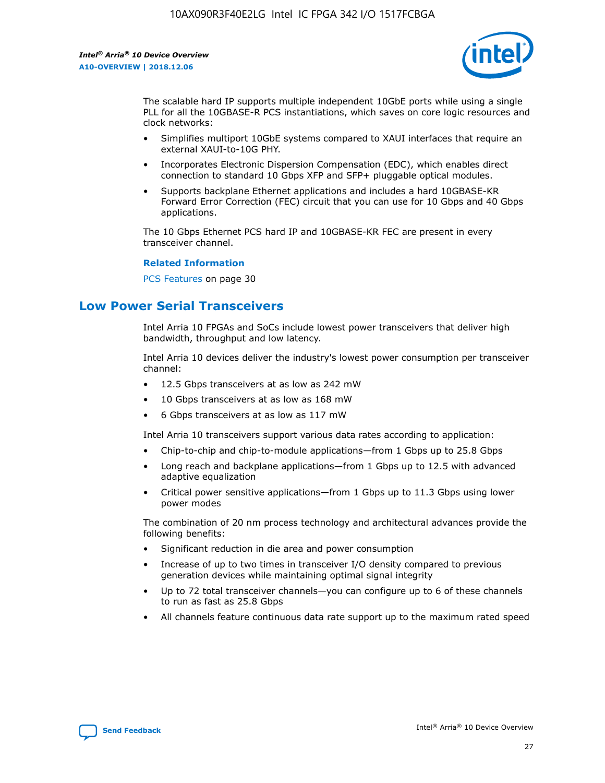

The scalable hard IP supports multiple independent 10GbE ports while using a single PLL for all the 10GBASE-R PCS instantiations, which saves on core logic resources and clock networks:

- Simplifies multiport 10GbE systems compared to XAUI interfaces that require an external XAUI-to-10G PHY.
- Incorporates Electronic Dispersion Compensation (EDC), which enables direct connection to standard 10 Gbps XFP and SFP+ pluggable optical modules.
- Supports backplane Ethernet applications and includes a hard 10GBASE-KR Forward Error Correction (FEC) circuit that you can use for 10 Gbps and 40 Gbps applications.

The 10 Gbps Ethernet PCS hard IP and 10GBASE-KR FEC are present in every transceiver channel.

#### **Related Information**

PCS Features on page 30

## **Low Power Serial Transceivers**

Intel Arria 10 FPGAs and SoCs include lowest power transceivers that deliver high bandwidth, throughput and low latency.

Intel Arria 10 devices deliver the industry's lowest power consumption per transceiver channel:

- 12.5 Gbps transceivers at as low as 242 mW
- 10 Gbps transceivers at as low as 168 mW
- 6 Gbps transceivers at as low as 117 mW

Intel Arria 10 transceivers support various data rates according to application:

- Chip-to-chip and chip-to-module applications—from 1 Gbps up to 25.8 Gbps
- Long reach and backplane applications—from 1 Gbps up to 12.5 with advanced adaptive equalization
- Critical power sensitive applications—from 1 Gbps up to 11.3 Gbps using lower power modes

The combination of 20 nm process technology and architectural advances provide the following benefits:

- Significant reduction in die area and power consumption
- Increase of up to two times in transceiver I/O density compared to previous generation devices while maintaining optimal signal integrity
- Up to 72 total transceiver channels—you can configure up to 6 of these channels to run as fast as 25.8 Gbps
- All channels feature continuous data rate support up to the maximum rated speed

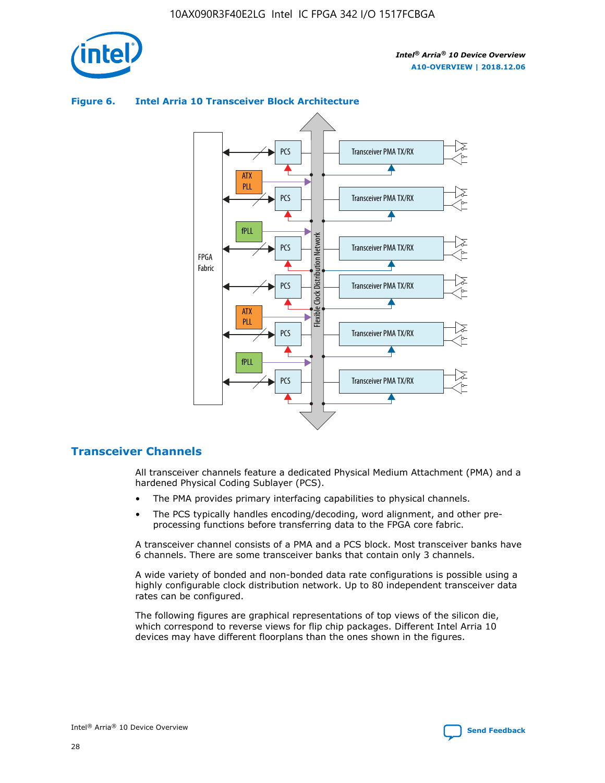

## Transceiver PMA TX/RX PCS ATX PLL Transceiver PMA TX/RX PCS fPLL Network Flexible Clock Distribution Network PCS Transceiver PMA TX/RX FPGA **Clock Distribution** Fabric PCS Transceiver PMA TX/RX ATX Flexible PLL PCS Transceiver PMA TX/RX ▲ fPLL Transceiver PMA TX/RX PCS 4

## **Figure 6. Intel Arria 10 Transceiver Block Architecture**

## **Transceiver Channels**

All transceiver channels feature a dedicated Physical Medium Attachment (PMA) and a hardened Physical Coding Sublayer (PCS).

- The PMA provides primary interfacing capabilities to physical channels.
- The PCS typically handles encoding/decoding, word alignment, and other preprocessing functions before transferring data to the FPGA core fabric.

A transceiver channel consists of a PMA and a PCS block. Most transceiver banks have 6 channels. There are some transceiver banks that contain only 3 channels.

A wide variety of bonded and non-bonded data rate configurations is possible using a highly configurable clock distribution network. Up to 80 independent transceiver data rates can be configured.

The following figures are graphical representations of top views of the silicon die, which correspond to reverse views for flip chip packages. Different Intel Arria 10 devices may have different floorplans than the ones shown in the figures.

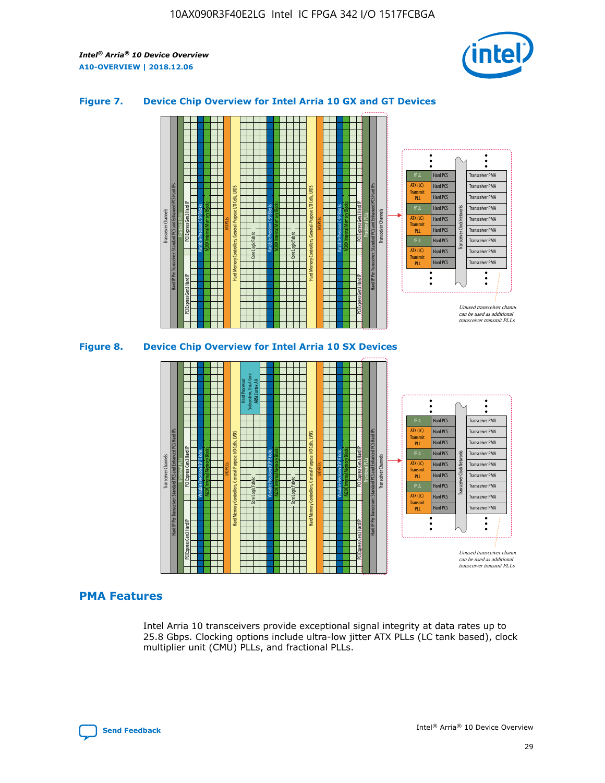

## **Figure 7. Device Chip Overview for Intel Arria 10 GX and GT Devices**





## **PMA Features**

Intel Arria 10 transceivers provide exceptional signal integrity at data rates up to 25.8 Gbps. Clocking options include ultra-low jitter ATX PLLs (LC tank based), clock multiplier unit (CMU) PLLs, and fractional PLLs.

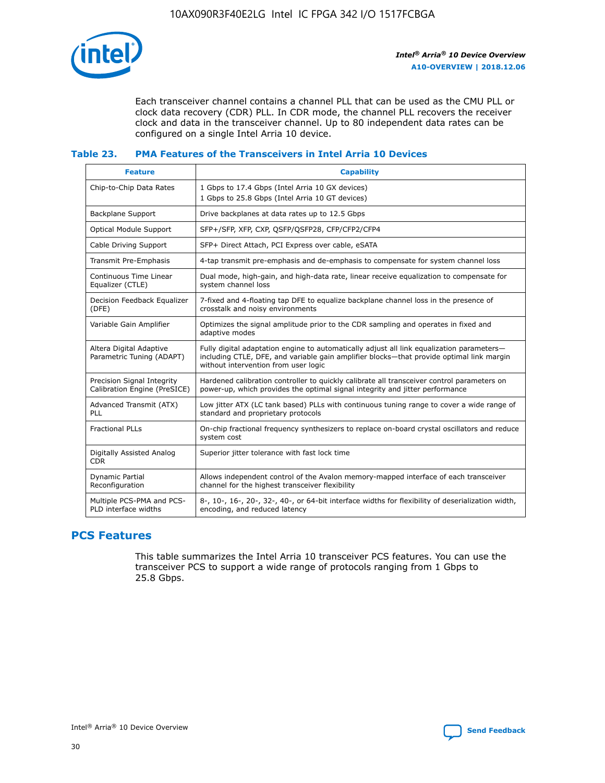

Each transceiver channel contains a channel PLL that can be used as the CMU PLL or clock data recovery (CDR) PLL. In CDR mode, the channel PLL recovers the receiver clock and data in the transceiver channel. Up to 80 independent data rates can be configured on a single Intel Arria 10 device.

## **Table 23. PMA Features of the Transceivers in Intel Arria 10 Devices**

| <b>Feature</b>                                             | <b>Capability</b>                                                                                                                                                                                                             |
|------------------------------------------------------------|-------------------------------------------------------------------------------------------------------------------------------------------------------------------------------------------------------------------------------|
| Chip-to-Chip Data Rates                                    | 1 Gbps to 17.4 Gbps (Intel Arria 10 GX devices)<br>1 Gbps to 25.8 Gbps (Intel Arria 10 GT devices)                                                                                                                            |
| <b>Backplane Support</b>                                   | Drive backplanes at data rates up to 12.5 Gbps                                                                                                                                                                                |
| Optical Module Support                                     | SFP+/SFP, XFP, CXP, QSFP/QSFP28, CFP/CFP2/CFP4                                                                                                                                                                                |
| Cable Driving Support                                      | SFP+ Direct Attach, PCI Express over cable, eSATA                                                                                                                                                                             |
| Transmit Pre-Emphasis                                      | 4-tap transmit pre-emphasis and de-emphasis to compensate for system channel loss                                                                                                                                             |
| Continuous Time Linear<br>Equalizer (CTLE)                 | Dual mode, high-gain, and high-data rate, linear receive equalization to compensate for<br>system channel loss                                                                                                                |
| Decision Feedback Equalizer<br>(DFE)                       | 7-fixed and 4-floating tap DFE to equalize backplane channel loss in the presence of<br>crosstalk and noisy environments                                                                                                      |
| Variable Gain Amplifier                                    | Optimizes the signal amplitude prior to the CDR sampling and operates in fixed and<br>adaptive modes                                                                                                                          |
| Altera Digital Adaptive<br>Parametric Tuning (ADAPT)       | Fully digital adaptation engine to automatically adjust all link equalization parameters-<br>including CTLE, DFE, and variable gain amplifier blocks—that provide optimal link margin<br>without intervention from user logic |
| Precision Signal Integrity<br>Calibration Engine (PreSICE) | Hardened calibration controller to quickly calibrate all transceiver control parameters on<br>power-up, which provides the optimal signal integrity and jitter performance                                                    |
| Advanced Transmit (ATX)<br><b>PLL</b>                      | Low jitter ATX (LC tank based) PLLs with continuous tuning range to cover a wide range of<br>standard and proprietary protocols                                                                                               |
| <b>Fractional PLLs</b>                                     | On-chip fractional frequency synthesizers to replace on-board crystal oscillators and reduce<br>system cost                                                                                                                   |
| Digitally Assisted Analog<br><b>CDR</b>                    | Superior jitter tolerance with fast lock time                                                                                                                                                                                 |
| Dynamic Partial<br>Reconfiguration                         | Allows independent control of the Avalon memory-mapped interface of each transceiver<br>channel for the highest transceiver flexibility                                                                                       |
| Multiple PCS-PMA and PCS-<br>PLD interface widths          | 8-, 10-, 16-, 20-, 32-, 40-, or 64-bit interface widths for flexibility of deserialization width,<br>encoding, and reduced latency                                                                                            |

## **PCS Features**

This table summarizes the Intel Arria 10 transceiver PCS features. You can use the transceiver PCS to support a wide range of protocols ranging from 1 Gbps to 25.8 Gbps.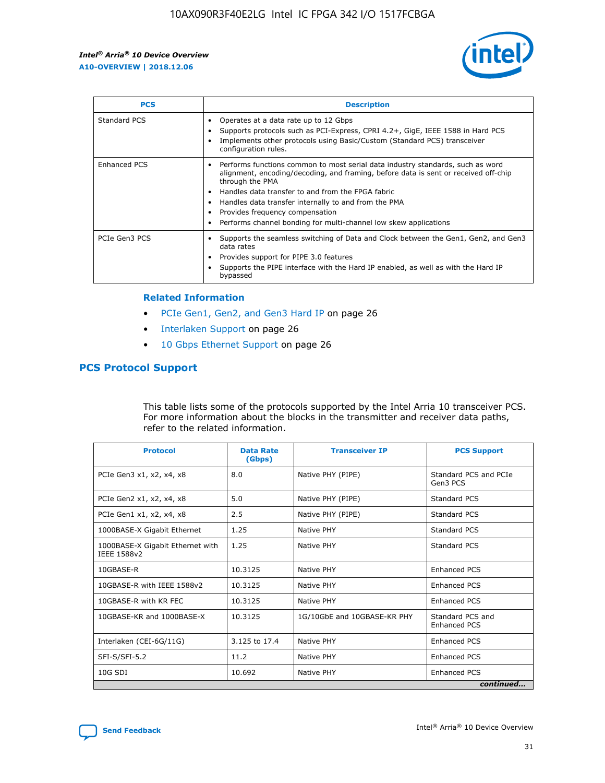

| <b>PCS</b>    | <b>Description</b>                                                                                                                                                                                                                                                                                                                                                                                             |
|---------------|----------------------------------------------------------------------------------------------------------------------------------------------------------------------------------------------------------------------------------------------------------------------------------------------------------------------------------------------------------------------------------------------------------------|
| Standard PCS  | Operates at a data rate up to 12 Gbps<br>Supports protocols such as PCI-Express, CPRI 4.2+, GigE, IEEE 1588 in Hard PCS<br>Implements other protocols using Basic/Custom (Standard PCS) transceiver<br>configuration rules.                                                                                                                                                                                    |
| Enhanced PCS  | Performs functions common to most serial data industry standards, such as word<br>alignment, encoding/decoding, and framing, before data is sent or received off-chip<br>through the PMA<br>• Handles data transfer to and from the FPGA fabric<br>Handles data transfer internally to and from the PMA<br>Provides frequency compensation<br>Performs channel bonding for multi-channel low skew applications |
| PCIe Gen3 PCS | Supports the seamless switching of Data and Clock between the Gen1, Gen2, and Gen3<br>data rates<br>Provides support for PIPE 3.0 features<br>Supports the PIPE interface with the Hard IP enabled, as well as with the Hard IP<br>bypassed                                                                                                                                                                    |

#### **Related Information**

- PCIe Gen1, Gen2, and Gen3 Hard IP on page 26
- Interlaken Support on page 26
- 10 Gbps Ethernet Support on page 26

## **PCS Protocol Support**

This table lists some of the protocols supported by the Intel Arria 10 transceiver PCS. For more information about the blocks in the transmitter and receiver data paths, refer to the related information.

| <b>Protocol</b>                                 | <b>Data Rate</b><br>(Gbps) | <b>Transceiver IP</b>       | <b>PCS Support</b>                      |
|-------------------------------------------------|----------------------------|-----------------------------|-----------------------------------------|
| PCIe Gen3 x1, x2, x4, x8                        | 8.0                        | Native PHY (PIPE)           | Standard PCS and PCIe<br>Gen3 PCS       |
| PCIe Gen2 x1, x2, x4, x8                        | 5.0                        | Native PHY (PIPE)           | <b>Standard PCS</b>                     |
| PCIe Gen1 x1, x2, x4, x8                        | 2.5                        | Native PHY (PIPE)           | Standard PCS                            |
| 1000BASE-X Gigabit Ethernet                     | 1.25                       | Native PHY                  | <b>Standard PCS</b>                     |
| 1000BASE-X Gigabit Ethernet with<br>IEEE 1588v2 | 1.25                       | Native PHY                  | Standard PCS                            |
| 10GBASE-R                                       | 10.3125                    | Native PHY                  | <b>Enhanced PCS</b>                     |
| 10GBASE-R with IEEE 1588v2                      | 10.3125                    | Native PHY                  | <b>Enhanced PCS</b>                     |
| 10GBASE-R with KR FEC                           | 10.3125                    | Native PHY                  | <b>Enhanced PCS</b>                     |
| 10GBASE-KR and 1000BASE-X                       | 10.3125                    | 1G/10GbE and 10GBASE-KR PHY | Standard PCS and<br><b>Enhanced PCS</b> |
| Interlaken (CEI-6G/11G)                         | 3.125 to 17.4              | Native PHY                  | <b>Enhanced PCS</b>                     |
| SFI-S/SFI-5.2                                   | 11.2                       | Native PHY                  | <b>Enhanced PCS</b>                     |
| $10G$ SDI                                       | 10.692                     | Native PHY                  | <b>Enhanced PCS</b>                     |
|                                                 |                            |                             | continued                               |

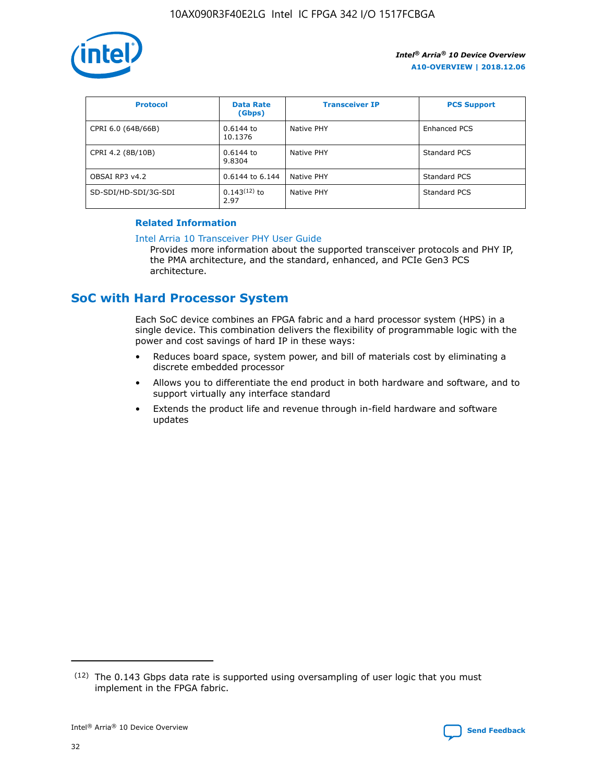

| <b>Protocol</b>      | <b>Data Rate</b><br>(Gbps) | <b>Transceiver IP</b> | <b>PCS Support</b> |
|----------------------|----------------------------|-----------------------|--------------------|
| CPRI 6.0 (64B/66B)   | 0.6144 to<br>10.1376       | Native PHY            | Enhanced PCS       |
| CPRI 4.2 (8B/10B)    | $0.6144$ to<br>9.8304      | Native PHY            | Standard PCS       |
| OBSAI RP3 v4.2       | 0.6144 to 6.144            | Native PHY            | Standard PCS       |
| SD-SDI/HD-SDI/3G-SDI | $0.143(12)$ to<br>2.97     | Native PHY            | Standard PCS       |

## **Related Information**

#### [Intel Arria 10 Transceiver PHY User Guide](https://www.intel.com/content/www/us/en/programmable/documentation/nik1398707230472.html#nik1398707091164)

Provides more information about the supported transceiver protocols and PHY IP, the PMA architecture, and the standard, enhanced, and PCIe Gen3 PCS architecture.

## **SoC with Hard Processor System**

Each SoC device combines an FPGA fabric and a hard processor system (HPS) in a single device. This combination delivers the flexibility of programmable logic with the power and cost savings of hard IP in these ways:

- Reduces board space, system power, and bill of materials cost by eliminating a discrete embedded processor
- Allows you to differentiate the end product in both hardware and software, and to support virtually any interface standard
- Extends the product life and revenue through in-field hardware and software updates

<sup>(12)</sup> The 0.143 Gbps data rate is supported using oversampling of user logic that you must implement in the FPGA fabric.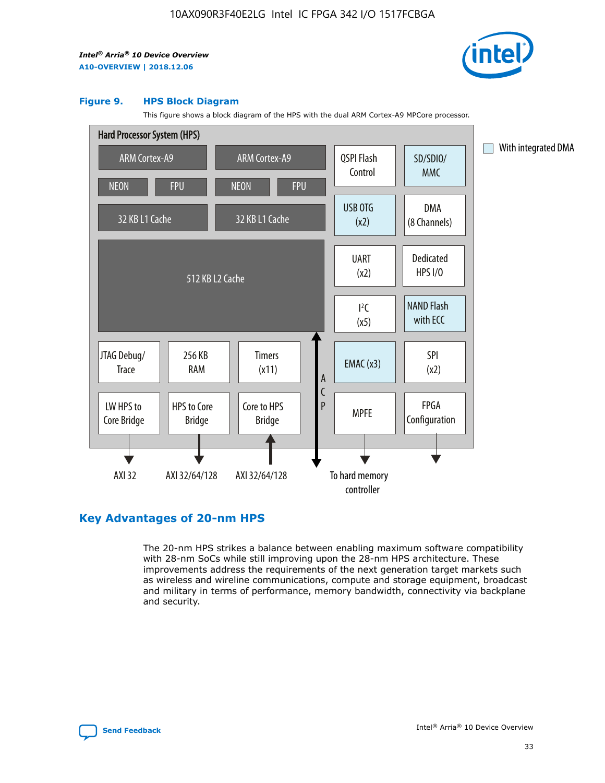

#### **Figure 9. HPS Block Diagram**

This figure shows a block diagram of the HPS with the dual ARM Cortex-A9 MPCore processor.



## **Key Advantages of 20-nm HPS**

The 20-nm HPS strikes a balance between enabling maximum software compatibility with 28-nm SoCs while still improving upon the 28-nm HPS architecture. These improvements address the requirements of the next generation target markets such as wireless and wireline communications, compute and storage equipment, broadcast and military in terms of performance, memory bandwidth, connectivity via backplane and security.

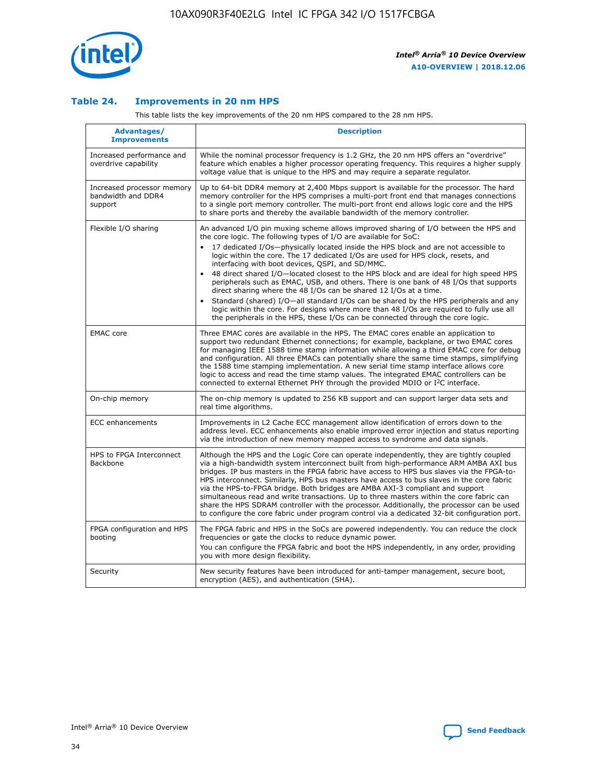

## **Table 24. Improvements in 20 nm HPS**

This table lists the key improvements of the 20 nm HPS compared to the 28 nm HPS.

| Advantages/<br><b>Improvements</b>                          | <b>Description</b>                                                                                                                                                                                                                                                                                                                                                                                                                                                                                                                                                                                                                                                                                                                                     |
|-------------------------------------------------------------|--------------------------------------------------------------------------------------------------------------------------------------------------------------------------------------------------------------------------------------------------------------------------------------------------------------------------------------------------------------------------------------------------------------------------------------------------------------------------------------------------------------------------------------------------------------------------------------------------------------------------------------------------------------------------------------------------------------------------------------------------------|
| Increased performance and<br>overdrive capability           | While the nominal processor frequency is 1.2 GHz, the 20 nm HPS offers an "overdrive"<br>feature which enables a higher processor operating frequency. This requires a higher supply<br>voltage value that is unique to the HPS and may require a separate regulator.                                                                                                                                                                                                                                                                                                                                                                                                                                                                                  |
| Increased processor memory<br>bandwidth and DDR4<br>support | Up to 64-bit DDR4 memory at 2,400 Mbps support is available for the processor. The hard<br>memory controller for the HPS comprises a multi-port front end that manages connections<br>to a single port memory controller. The multi-port front end allows logic core and the HPS<br>to share ports and thereby the available bandwidth of the memory controller.                                                                                                                                                                                                                                                                                                                                                                                       |
| Flexible I/O sharing                                        | An advanced I/O pin muxing scheme allows improved sharing of I/O between the HPS and<br>the core logic. The following types of I/O are available for SoC:<br>17 dedicated I/Os-physically located inside the HPS block and are not accessible to<br>logic within the core. The 17 dedicated I/Os are used for HPS clock, resets, and<br>interfacing with boot devices, QSPI, and SD/MMC.<br>48 direct shared I/O-located closest to the HPS block and are ideal for high speed HPS<br>$\bullet$<br>peripherals such as EMAC, USB, and others. There is one bank of 48 I/Os that supports<br>direct sharing where the 48 I/Os can be shared 12 I/Os at a time.                                                                                          |
|                                                             | Standard (shared) I/O-all standard I/Os can be shared by the HPS peripherals and any<br>logic within the core. For designs where more than 48 I/Os are required to fully use all<br>the peripherals in the HPS, these I/Os can be connected through the core logic.                                                                                                                                                                                                                                                                                                                                                                                                                                                                                    |
| <b>EMAC</b> core                                            | Three EMAC cores are available in the HPS. The EMAC cores enable an application to<br>support two redundant Ethernet connections; for example, backplane, or two EMAC cores<br>for managing IEEE 1588 time stamp information while allowing a third EMAC core for debug<br>and configuration. All three EMACs can potentially share the same time stamps, simplifying<br>the 1588 time stamping implementation. A new serial time stamp interface allows core<br>logic to access and read the time stamp values. The integrated EMAC controllers can be<br>connected to external Ethernet PHY through the provided MDIO or I <sup>2</sup> C interface.                                                                                                 |
| On-chip memory                                              | The on-chip memory is updated to 256 KB support and can support larger data sets and<br>real time algorithms.                                                                                                                                                                                                                                                                                                                                                                                                                                                                                                                                                                                                                                          |
| <b>ECC</b> enhancements                                     | Improvements in L2 Cache ECC management allow identification of errors down to the<br>address level. ECC enhancements also enable improved error injection and status reporting<br>via the introduction of new memory mapped access to syndrome and data signals.                                                                                                                                                                                                                                                                                                                                                                                                                                                                                      |
| HPS to FPGA Interconnect<br><b>Backbone</b>                 | Although the HPS and the Logic Core can operate independently, they are tightly coupled<br>via a high-bandwidth system interconnect built from high-performance ARM AMBA AXI bus<br>bridges. IP bus masters in the FPGA fabric have access to HPS bus slaves via the FPGA-to-<br>HPS interconnect. Similarly, HPS bus masters have access to bus slaves in the core fabric<br>via the HPS-to-FPGA bridge. Both bridges are AMBA AXI-3 compliant and support<br>simultaneous read and write transactions. Up to three masters within the core fabric can<br>share the HPS SDRAM controller with the processor. Additionally, the processor can be used<br>to configure the core fabric under program control via a dedicated 32-bit configuration port. |
| FPGA configuration and HPS<br>booting                       | The FPGA fabric and HPS in the SoCs are powered independently. You can reduce the clock<br>frequencies or gate the clocks to reduce dynamic power.<br>You can configure the FPGA fabric and boot the HPS independently, in any order, providing<br>you with more design flexibility.                                                                                                                                                                                                                                                                                                                                                                                                                                                                   |
| Security                                                    | New security features have been introduced for anti-tamper management, secure boot,<br>encryption (AES), and authentication (SHA).                                                                                                                                                                                                                                                                                                                                                                                                                                                                                                                                                                                                                     |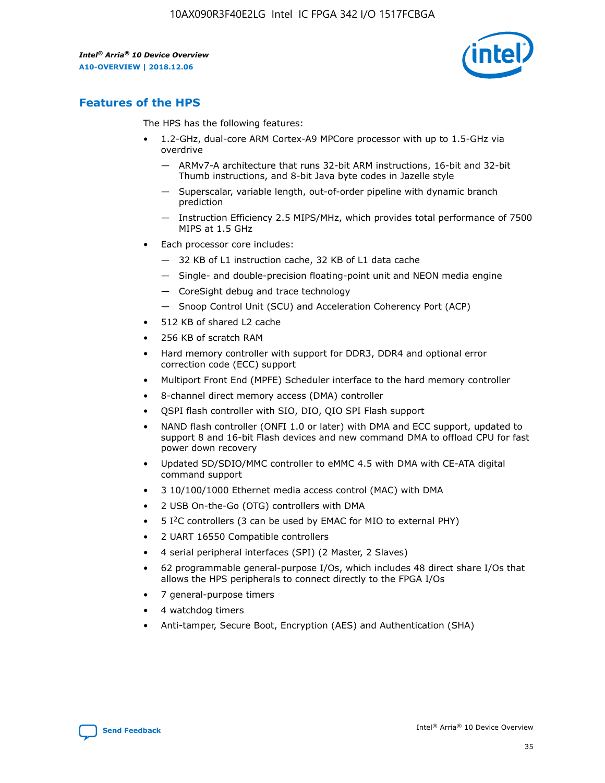

## **Features of the HPS**

The HPS has the following features:

- 1.2-GHz, dual-core ARM Cortex-A9 MPCore processor with up to 1.5-GHz via overdrive
	- ARMv7-A architecture that runs 32-bit ARM instructions, 16-bit and 32-bit Thumb instructions, and 8-bit Java byte codes in Jazelle style
	- Superscalar, variable length, out-of-order pipeline with dynamic branch prediction
	- Instruction Efficiency 2.5 MIPS/MHz, which provides total performance of 7500 MIPS at 1.5 GHz
- Each processor core includes:
	- 32 KB of L1 instruction cache, 32 KB of L1 data cache
	- Single- and double-precision floating-point unit and NEON media engine
	- CoreSight debug and trace technology
	- Snoop Control Unit (SCU) and Acceleration Coherency Port (ACP)
- 512 KB of shared L2 cache
- 256 KB of scratch RAM
- Hard memory controller with support for DDR3, DDR4 and optional error correction code (ECC) support
- Multiport Front End (MPFE) Scheduler interface to the hard memory controller
- 8-channel direct memory access (DMA) controller
- QSPI flash controller with SIO, DIO, QIO SPI Flash support
- NAND flash controller (ONFI 1.0 or later) with DMA and ECC support, updated to support 8 and 16-bit Flash devices and new command DMA to offload CPU for fast power down recovery
- Updated SD/SDIO/MMC controller to eMMC 4.5 with DMA with CE-ATA digital command support
- 3 10/100/1000 Ethernet media access control (MAC) with DMA
- 2 USB On-the-Go (OTG) controllers with DMA
- $\bullet$  5 I<sup>2</sup>C controllers (3 can be used by EMAC for MIO to external PHY)
- 2 UART 16550 Compatible controllers
- 4 serial peripheral interfaces (SPI) (2 Master, 2 Slaves)
- 62 programmable general-purpose I/Os, which includes 48 direct share I/Os that allows the HPS peripherals to connect directly to the FPGA I/Os
- 7 general-purpose timers
- 4 watchdog timers
- Anti-tamper, Secure Boot, Encryption (AES) and Authentication (SHA)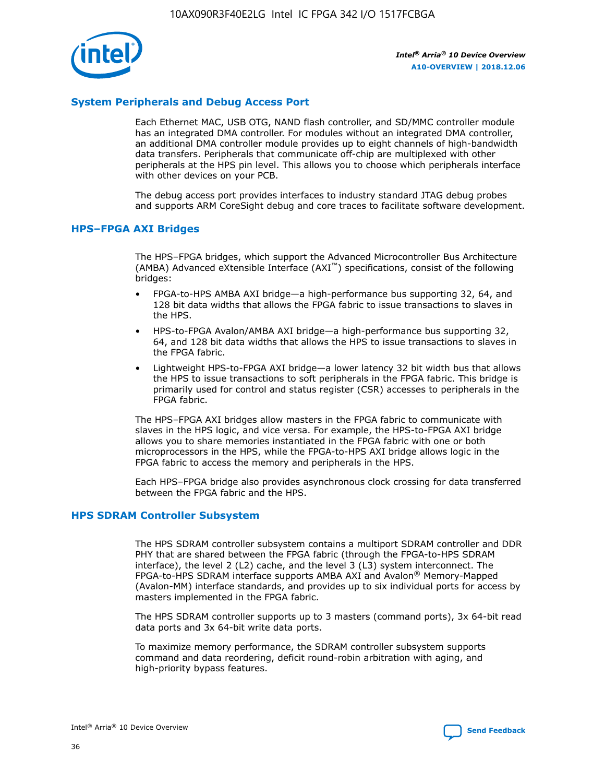

## **System Peripherals and Debug Access Port**

Each Ethernet MAC, USB OTG, NAND flash controller, and SD/MMC controller module has an integrated DMA controller. For modules without an integrated DMA controller, an additional DMA controller module provides up to eight channels of high-bandwidth data transfers. Peripherals that communicate off-chip are multiplexed with other peripherals at the HPS pin level. This allows you to choose which peripherals interface with other devices on your PCB.

The debug access port provides interfaces to industry standard JTAG debug probes and supports ARM CoreSight debug and core traces to facilitate software development.

## **HPS–FPGA AXI Bridges**

The HPS–FPGA bridges, which support the Advanced Microcontroller Bus Architecture (AMBA) Advanced eXtensible Interface (AXI™) specifications, consist of the following bridges:

- FPGA-to-HPS AMBA AXI bridge—a high-performance bus supporting 32, 64, and 128 bit data widths that allows the FPGA fabric to issue transactions to slaves in the HPS.
- HPS-to-FPGA Avalon/AMBA AXI bridge—a high-performance bus supporting 32, 64, and 128 bit data widths that allows the HPS to issue transactions to slaves in the FPGA fabric.
- Lightweight HPS-to-FPGA AXI bridge—a lower latency 32 bit width bus that allows the HPS to issue transactions to soft peripherals in the FPGA fabric. This bridge is primarily used for control and status register (CSR) accesses to peripherals in the FPGA fabric.

The HPS–FPGA AXI bridges allow masters in the FPGA fabric to communicate with slaves in the HPS logic, and vice versa. For example, the HPS-to-FPGA AXI bridge allows you to share memories instantiated in the FPGA fabric with one or both microprocessors in the HPS, while the FPGA-to-HPS AXI bridge allows logic in the FPGA fabric to access the memory and peripherals in the HPS.

Each HPS–FPGA bridge also provides asynchronous clock crossing for data transferred between the FPGA fabric and the HPS.

#### **HPS SDRAM Controller Subsystem**

The HPS SDRAM controller subsystem contains a multiport SDRAM controller and DDR PHY that are shared between the FPGA fabric (through the FPGA-to-HPS SDRAM interface), the level 2 (L2) cache, and the level 3 (L3) system interconnect. The FPGA-to-HPS SDRAM interface supports AMBA AXI and Avalon® Memory-Mapped (Avalon-MM) interface standards, and provides up to six individual ports for access by masters implemented in the FPGA fabric.

The HPS SDRAM controller supports up to 3 masters (command ports), 3x 64-bit read data ports and 3x 64-bit write data ports.

To maximize memory performance, the SDRAM controller subsystem supports command and data reordering, deficit round-robin arbitration with aging, and high-priority bypass features.

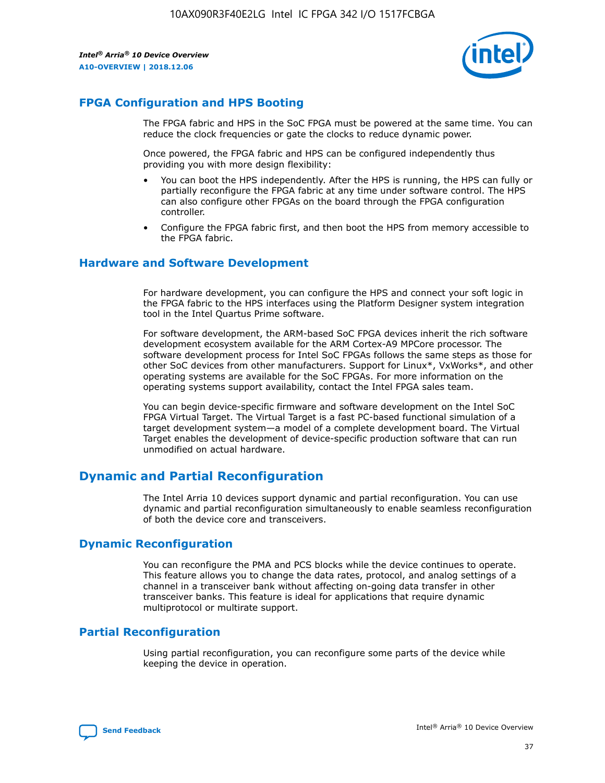

## **FPGA Configuration and HPS Booting**

The FPGA fabric and HPS in the SoC FPGA must be powered at the same time. You can reduce the clock frequencies or gate the clocks to reduce dynamic power.

Once powered, the FPGA fabric and HPS can be configured independently thus providing you with more design flexibility:

- You can boot the HPS independently. After the HPS is running, the HPS can fully or partially reconfigure the FPGA fabric at any time under software control. The HPS can also configure other FPGAs on the board through the FPGA configuration controller.
- Configure the FPGA fabric first, and then boot the HPS from memory accessible to the FPGA fabric.

## **Hardware and Software Development**

For hardware development, you can configure the HPS and connect your soft logic in the FPGA fabric to the HPS interfaces using the Platform Designer system integration tool in the Intel Quartus Prime software.

For software development, the ARM-based SoC FPGA devices inherit the rich software development ecosystem available for the ARM Cortex-A9 MPCore processor. The software development process for Intel SoC FPGAs follows the same steps as those for other SoC devices from other manufacturers. Support for Linux\*, VxWorks\*, and other operating systems are available for the SoC FPGAs. For more information on the operating systems support availability, contact the Intel FPGA sales team.

You can begin device-specific firmware and software development on the Intel SoC FPGA Virtual Target. The Virtual Target is a fast PC-based functional simulation of a target development system—a model of a complete development board. The Virtual Target enables the development of device-specific production software that can run unmodified on actual hardware.

## **Dynamic and Partial Reconfiguration**

The Intel Arria 10 devices support dynamic and partial reconfiguration. You can use dynamic and partial reconfiguration simultaneously to enable seamless reconfiguration of both the device core and transceivers.

## **Dynamic Reconfiguration**

You can reconfigure the PMA and PCS blocks while the device continues to operate. This feature allows you to change the data rates, protocol, and analog settings of a channel in a transceiver bank without affecting on-going data transfer in other transceiver banks. This feature is ideal for applications that require dynamic multiprotocol or multirate support.

## **Partial Reconfiguration**

Using partial reconfiguration, you can reconfigure some parts of the device while keeping the device in operation.

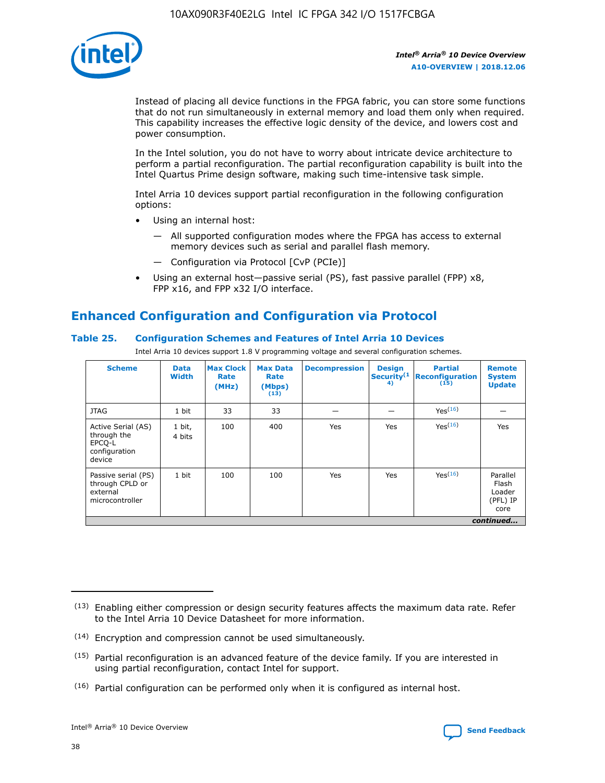

Instead of placing all device functions in the FPGA fabric, you can store some functions that do not run simultaneously in external memory and load them only when required. This capability increases the effective logic density of the device, and lowers cost and power consumption.

In the Intel solution, you do not have to worry about intricate device architecture to perform a partial reconfiguration. The partial reconfiguration capability is built into the Intel Quartus Prime design software, making such time-intensive task simple.

Intel Arria 10 devices support partial reconfiguration in the following configuration options:

- Using an internal host:
	- All supported configuration modes where the FPGA has access to external memory devices such as serial and parallel flash memory.
	- Configuration via Protocol [CvP (PCIe)]
- Using an external host—passive serial (PS), fast passive parallel (FPP) x8, FPP x16, and FPP x32 I/O interface.

## **Enhanced Configuration and Configuration via Protocol**

## **Table 25. Configuration Schemes and Features of Intel Arria 10 Devices**

Intel Arria 10 devices support 1.8 V programming voltage and several configuration schemes.

| <b>Scheme</b>                                                          | <b>Data</b><br><b>Width</b> | <b>Max Clock</b><br>Rate<br>(MHz) | <b>Max Data</b><br>Rate<br>(Mbps)<br>(13) | <b>Decompression</b> | <b>Design</b><br>Security <sup>(1</sup><br>4) | <b>Partial</b><br>Reconfiguration<br>(15) | <b>Remote</b><br><b>System</b><br><b>Update</b> |
|------------------------------------------------------------------------|-----------------------------|-----------------------------------|-------------------------------------------|----------------------|-----------------------------------------------|-------------------------------------------|-------------------------------------------------|
| <b>JTAG</b>                                                            | 1 bit                       | 33                                | 33                                        |                      |                                               | Yes <sup>(16)</sup>                       |                                                 |
| Active Serial (AS)<br>through the<br>EPCO-L<br>configuration<br>device | 1 bit,<br>4 bits            | 100                               | 400                                       | Yes                  | Yes                                           | $Y_{PS}(16)$                              | Yes                                             |
| Passive serial (PS)<br>through CPLD or<br>external<br>microcontroller  | 1 bit                       | 100                               | 100                                       | Yes                  | Yes                                           | Yes(16)                                   | Parallel<br>Flash<br>Loader<br>(PFL) IP<br>core |
|                                                                        |                             |                                   |                                           |                      |                                               |                                           | continued                                       |

<sup>(13)</sup> Enabling either compression or design security features affects the maximum data rate. Refer to the Intel Arria 10 Device Datasheet for more information.

<sup>(14)</sup> Encryption and compression cannot be used simultaneously.

 $(15)$  Partial reconfiguration is an advanced feature of the device family. If you are interested in using partial reconfiguration, contact Intel for support.

 $(16)$  Partial configuration can be performed only when it is configured as internal host.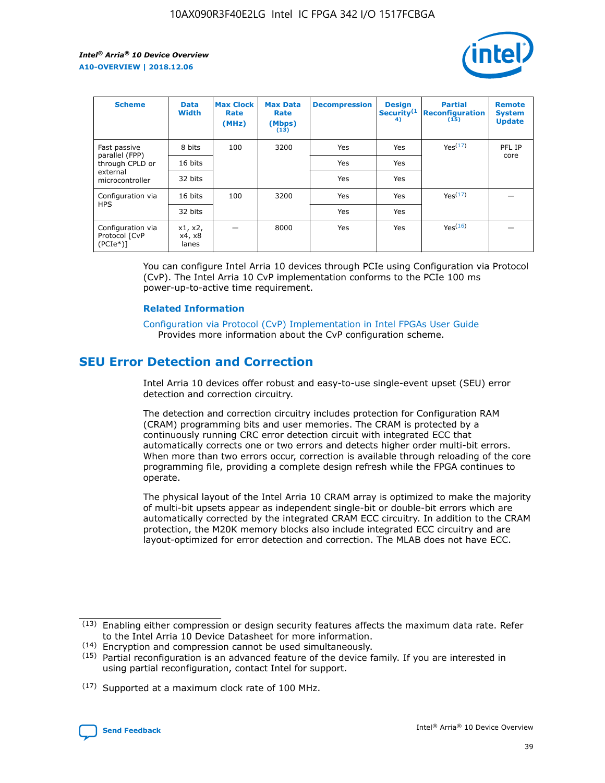

| <b>Scheme</b>                                    | <b>Data</b><br><b>Width</b> | <b>Max Clock</b><br>Rate<br>(MHz) | <b>Max Data</b><br>Rate<br>(Mbps)<br>(13) | <b>Decompression</b> | <b>Design</b><br>Security <sup>(1</sup><br>4) | <b>Partial</b><br><b>Reconfiguration</b><br>(15) | <b>Remote</b><br><b>System</b><br><b>Update</b> |
|--------------------------------------------------|-----------------------------|-----------------------------------|-------------------------------------------|----------------------|-----------------------------------------------|--------------------------------------------------|-------------------------------------------------|
| Fast passive                                     | 8 bits                      | 100                               | 3200                                      | Yes                  | Yes                                           | Yes(17)                                          | PFL IP                                          |
| parallel (FPP)<br>through CPLD or                | 16 bits                     |                                   |                                           | Yes                  | Yes                                           |                                                  | core                                            |
| external<br>microcontroller                      | 32 bits                     |                                   |                                           | Yes                  | Yes                                           |                                                  |                                                 |
| Configuration via                                | 16 bits                     | 100                               | 3200                                      | Yes                  | Yes                                           | Yes <sup>(17)</sup>                              |                                                 |
| <b>HPS</b>                                       | 32 bits                     |                                   |                                           | Yes                  | Yes                                           |                                                  |                                                 |
| Configuration via<br>Protocol [CvP<br>$(PCIe^*)$ | x1, x2,<br>x4, x8<br>lanes  |                                   | 8000                                      | Yes                  | Yes                                           | Yes(16)                                          |                                                 |

You can configure Intel Arria 10 devices through PCIe using Configuration via Protocol (CvP). The Intel Arria 10 CvP implementation conforms to the PCIe 100 ms power-up-to-active time requirement.

#### **Related Information**

[Configuration via Protocol \(CvP\) Implementation in Intel FPGAs User Guide](https://www.intel.com/content/www/us/en/programmable/documentation/dsu1441819344145.html#dsu1442269728522) Provides more information about the CvP configuration scheme.

## **SEU Error Detection and Correction**

Intel Arria 10 devices offer robust and easy-to-use single-event upset (SEU) error detection and correction circuitry.

The detection and correction circuitry includes protection for Configuration RAM (CRAM) programming bits and user memories. The CRAM is protected by a continuously running CRC error detection circuit with integrated ECC that automatically corrects one or two errors and detects higher order multi-bit errors. When more than two errors occur, correction is available through reloading of the core programming file, providing a complete design refresh while the FPGA continues to operate.

The physical layout of the Intel Arria 10 CRAM array is optimized to make the majority of multi-bit upsets appear as independent single-bit or double-bit errors which are automatically corrected by the integrated CRAM ECC circuitry. In addition to the CRAM protection, the M20K memory blocks also include integrated ECC circuitry and are layout-optimized for error detection and correction. The MLAB does not have ECC.

<sup>(17)</sup> Supported at a maximum clock rate of 100 MHz.



 $(13)$  Enabling either compression or design security features affects the maximum data rate. Refer to the Intel Arria 10 Device Datasheet for more information.

<sup>(14)</sup> Encryption and compression cannot be used simultaneously.

 $(15)$  Partial reconfiguration is an advanced feature of the device family. If you are interested in using partial reconfiguration, contact Intel for support.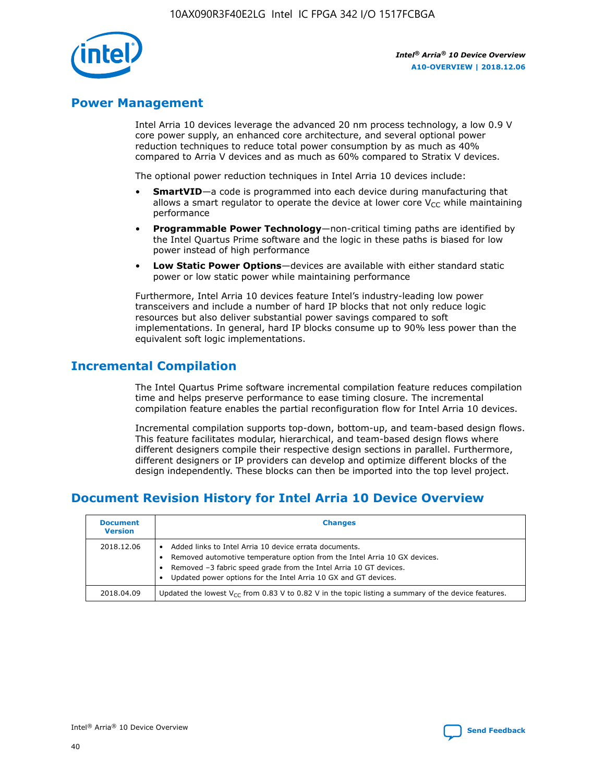

## **Power Management**

Intel Arria 10 devices leverage the advanced 20 nm process technology, a low 0.9 V core power supply, an enhanced core architecture, and several optional power reduction techniques to reduce total power consumption by as much as 40% compared to Arria V devices and as much as 60% compared to Stratix V devices.

The optional power reduction techniques in Intel Arria 10 devices include:

- **SmartVID**—a code is programmed into each device during manufacturing that allows a smart regulator to operate the device at lower core  $V_{CC}$  while maintaining performance
- **Programmable Power Technology**—non-critical timing paths are identified by the Intel Quartus Prime software and the logic in these paths is biased for low power instead of high performance
- **Low Static Power Options**—devices are available with either standard static power or low static power while maintaining performance

Furthermore, Intel Arria 10 devices feature Intel's industry-leading low power transceivers and include a number of hard IP blocks that not only reduce logic resources but also deliver substantial power savings compared to soft implementations. In general, hard IP blocks consume up to 90% less power than the equivalent soft logic implementations.

## **Incremental Compilation**

The Intel Quartus Prime software incremental compilation feature reduces compilation time and helps preserve performance to ease timing closure. The incremental compilation feature enables the partial reconfiguration flow for Intel Arria 10 devices.

Incremental compilation supports top-down, bottom-up, and team-based design flows. This feature facilitates modular, hierarchical, and team-based design flows where different designers compile their respective design sections in parallel. Furthermore, different designers or IP providers can develop and optimize different blocks of the design independently. These blocks can then be imported into the top level project.

## **Document Revision History for Intel Arria 10 Device Overview**

| <b>Document</b><br><b>Version</b> | <b>Changes</b>                                                                                                                                                                                                                                                              |
|-----------------------------------|-----------------------------------------------------------------------------------------------------------------------------------------------------------------------------------------------------------------------------------------------------------------------------|
| 2018.12.06                        | Added links to Intel Arria 10 device errata documents.<br>Removed automotive temperature option from the Intel Arria 10 GX devices.<br>Removed -3 fabric speed grade from the Intel Arria 10 GT devices.<br>Updated power options for the Intel Arria 10 GX and GT devices. |
| 2018.04.09                        | Updated the lowest $V_{CC}$ from 0.83 V to 0.82 V in the topic listing a summary of the device features.                                                                                                                                                                    |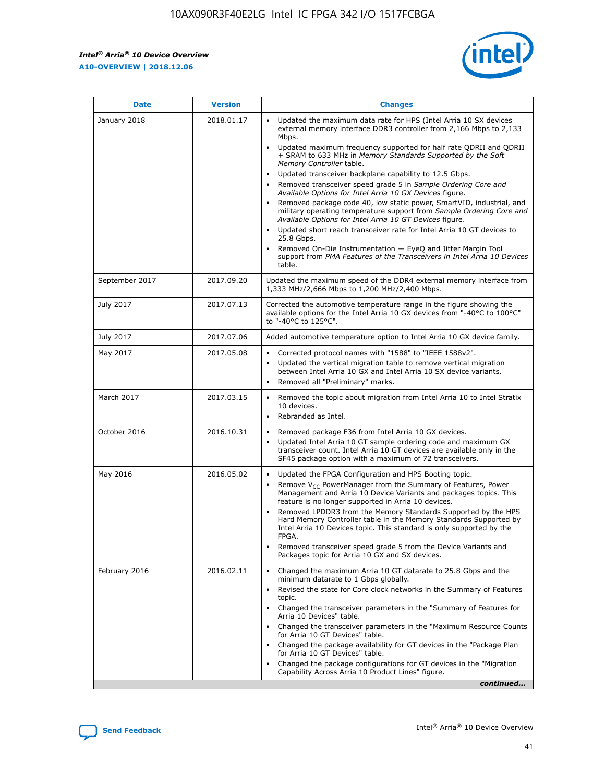*Intel® Arria® 10 Device Overview* **A10-OVERVIEW | 2018.12.06**



| <b>Date</b>    | <b>Version</b> | <b>Changes</b>                                                                                                                                                                                                                                                                                                                                                                                                                                                                                                                                                                                                                                                                                                                                                                                                                                                                                                                                                            |
|----------------|----------------|---------------------------------------------------------------------------------------------------------------------------------------------------------------------------------------------------------------------------------------------------------------------------------------------------------------------------------------------------------------------------------------------------------------------------------------------------------------------------------------------------------------------------------------------------------------------------------------------------------------------------------------------------------------------------------------------------------------------------------------------------------------------------------------------------------------------------------------------------------------------------------------------------------------------------------------------------------------------------|
| January 2018   | 2018.01.17     | Updated the maximum data rate for HPS (Intel Arria 10 SX devices<br>external memory interface DDR3 controller from 2,166 Mbps to 2,133<br>Mbps.<br>Updated maximum frequency supported for half rate QDRII and QDRII<br>+ SRAM to 633 MHz in Memory Standards Supported by the Soft<br>Memory Controller table.<br>Updated transceiver backplane capability to 12.5 Gbps.<br>$\bullet$<br>Removed transceiver speed grade 5 in Sample Ordering Core and<br>Available Options for Intel Arria 10 GX Devices figure.<br>Removed package code 40, low static power, SmartVID, industrial, and<br>military operating temperature support from Sample Ordering Core and<br>Available Options for Intel Arria 10 GT Devices figure.<br>Updated short reach transceiver rate for Intel Arria 10 GT devices to<br>25.8 Gbps.<br>Removed On-Die Instrumentation - EyeQ and Jitter Margin Tool<br>support from PMA Features of the Transceivers in Intel Arria 10 Devices<br>table. |
| September 2017 | 2017.09.20     | Updated the maximum speed of the DDR4 external memory interface from<br>1,333 MHz/2,666 Mbps to 1,200 MHz/2,400 Mbps.                                                                                                                                                                                                                                                                                                                                                                                                                                                                                                                                                                                                                                                                                                                                                                                                                                                     |
| July 2017      | 2017.07.13     | Corrected the automotive temperature range in the figure showing the<br>available options for the Intel Arria 10 GX devices from "-40°C to 100°C"<br>to "-40°C to 125°C".                                                                                                                                                                                                                                                                                                                                                                                                                                                                                                                                                                                                                                                                                                                                                                                                 |
| July 2017      | 2017.07.06     | Added automotive temperature option to Intel Arria 10 GX device family.                                                                                                                                                                                                                                                                                                                                                                                                                                                                                                                                                                                                                                                                                                                                                                                                                                                                                                   |
| May 2017       | 2017.05.08     | Corrected protocol names with "1588" to "IEEE 1588v2".<br>$\bullet$<br>Updated the vertical migration table to remove vertical migration<br>$\bullet$<br>between Intel Arria 10 GX and Intel Arria 10 SX device variants.<br>Removed all "Preliminary" marks.<br>$\bullet$                                                                                                                                                                                                                                                                                                                                                                                                                                                                                                                                                                                                                                                                                                |
| March 2017     | 2017.03.15     | Removed the topic about migration from Intel Arria 10 to Intel Stratix<br>10 devices.<br>Rebranded as Intel.<br>$\bullet$                                                                                                                                                                                                                                                                                                                                                                                                                                                                                                                                                                                                                                                                                                                                                                                                                                                 |
| October 2016   | 2016.10.31     | Removed package F36 from Intel Arria 10 GX devices.<br>Updated Intel Arria 10 GT sample ordering code and maximum GX<br>$\bullet$<br>transceiver count. Intel Arria 10 GT devices are available only in the<br>SF45 package option with a maximum of 72 transceivers.                                                                                                                                                                                                                                                                                                                                                                                                                                                                                                                                                                                                                                                                                                     |
| May 2016       | 2016.05.02     | Updated the FPGA Configuration and HPS Booting topic.<br>$\bullet$<br>Remove V <sub>CC</sub> PowerManager from the Summary of Features, Power<br>Management and Arria 10 Device Variants and packages topics. This<br>feature is no longer supported in Arria 10 devices.<br>Removed LPDDR3 from the Memory Standards Supported by the HPS<br>Hard Memory Controller table in the Memory Standards Supported by<br>Intel Arria 10 Devices topic. This standard is only supported by the<br>FPGA.<br>Removed transceiver speed grade 5 from the Device Variants and<br>Packages topic for Arria 10 GX and SX devices.                                                                                                                                                                                                                                                                                                                                                      |
| February 2016  | 2016.02.11     | Changed the maximum Arria 10 GT datarate to 25.8 Gbps and the<br>minimum datarate to 1 Gbps globally.<br>Revised the state for Core clock networks in the Summary of Features<br>$\bullet$<br>topic.<br>Changed the transceiver parameters in the "Summary of Features for<br>$\bullet$<br>Arria 10 Devices" table.<br>• Changed the transceiver parameters in the "Maximum Resource Counts<br>for Arria 10 GT Devices" table.<br>Changed the package availability for GT devices in the "Package Plan<br>for Arria 10 GT Devices" table.<br>Changed the package configurations for GT devices in the "Migration"<br>Capability Across Arria 10 Product Lines" figure.<br>continued                                                                                                                                                                                                                                                                                       |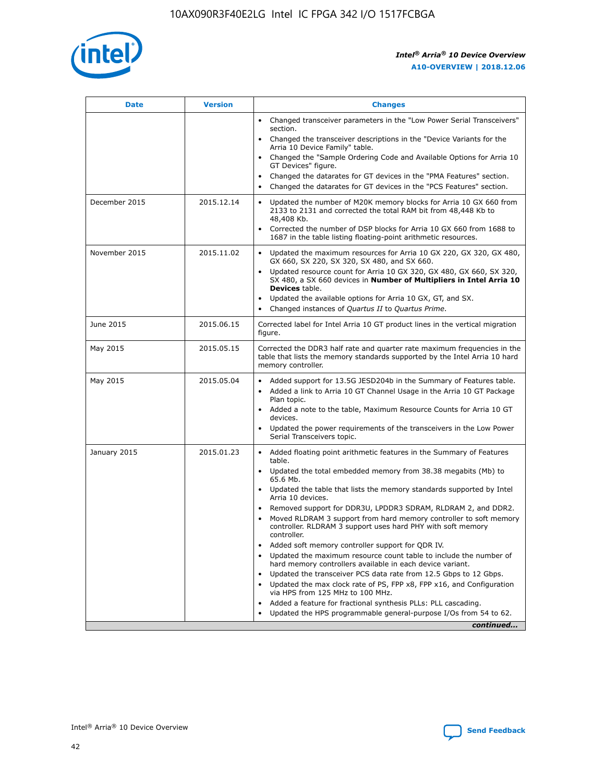

| <b>Date</b>   | <b>Version</b> | <b>Changes</b>                                                                                                                                                               |
|---------------|----------------|------------------------------------------------------------------------------------------------------------------------------------------------------------------------------|
|               |                | • Changed transceiver parameters in the "Low Power Serial Transceivers"<br>section.                                                                                          |
|               |                | • Changed the transceiver descriptions in the "Device Variants for the<br>Arria 10 Device Family" table.                                                                     |
|               |                | Changed the "Sample Ordering Code and Available Options for Arria 10<br>$\bullet$<br>GT Devices" figure.                                                                     |
|               |                | Changed the datarates for GT devices in the "PMA Features" section.                                                                                                          |
|               |                | Changed the datarates for GT devices in the "PCS Features" section.<br>$\bullet$                                                                                             |
| December 2015 | 2015.12.14     | Updated the number of M20K memory blocks for Arria 10 GX 660 from<br>2133 to 2131 and corrected the total RAM bit from 48,448 Kb to<br>48,408 Kb.                            |
|               |                | Corrected the number of DSP blocks for Arria 10 GX 660 from 1688 to<br>1687 in the table listing floating-point arithmetic resources.                                        |
| November 2015 | 2015.11.02     | Updated the maximum resources for Arria 10 GX 220, GX 320, GX 480,<br>$\bullet$<br>GX 660, SX 220, SX 320, SX 480, and SX 660.                                               |
|               |                | • Updated resource count for Arria 10 GX 320, GX 480, GX 660, SX 320,<br>SX 480, a SX 660 devices in Number of Multipliers in Intel Arria 10<br><b>Devices</b> table.        |
|               |                | Updated the available options for Arria 10 GX, GT, and SX.                                                                                                                   |
|               |                | Changed instances of Quartus II to Quartus Prime.<br>$\bullet$                                                                                                               |
| June 2015     | 2015.06.15     | Corrected label for Intel Arria 10 GT product lines in the vertical migration<br>figure.                                                                                     |
| May 2015      | 2015.05.15     | Corrected the DDR3 half rate and quarter rate maximum frequencies in the<br>table that lists the memory standards supported by the Intel Arria 10 hard<br>memory controller. |
| May 2015      | 2015.05.04     | • Added support for 13.5G JESD204b in the Summary of Features table.<br>• Added a link to Arria 10 GT Channel Usage in the Arria 10 GT Package<br>Plan topic.                |
|               |                | • Added a note to the table, Maximum Resource Counts for Arria 10 GT<br>devices.                                                                                             |
|               |                | • Updated the power requirements of the transceivers in the Low Power<br>Serial Transceivers topic.                                                                          |
| January 2015  | 2015.01.23     | • Added floating point arithmetic features in the Summary of Features<br>table.                                                                                              |
|               |                | • Updated the total embedded memory from 38.38 megabits (Mb) to<br>65.6 Mb.                                                                                                  |
|               |                | • Updated the table that lists the memory standards supported by Intel<br>Arria 10 devices.                                                                                  |
|               |                | Removed support for DDR3U, LPDDR3 SDRAM, RLDRAM 2, and DDR2.                                                                                                                 |
|               |                | Moved RLDRAM 3 support from hard memory controller to soft memory<br>controller. RLDRAM 3 support uses hard PHY with soft memory<br>controller.                              |
|               |                | Added soft memory controller support for QDR IV.<br>٠                                                                                                                        |
|               |                | Updated the maximum resource count table to include the number of<br>hard memory controllers available in each device variant.                                               |
|               |                | Updated the transceiver PCS data rate from 12.5 Gbps to 12 Gbps.<br>$\bullet$                                                                                                |
|               |                | Updated the max clock rate of PS, FPP x8, FPP x16, and Configuration<br>via HPS from 125 MHz to 100 MHz.                                                                     |
|               |                | Added a feature for fractional synthesis PLLs: PLL cascading.                                                                                                                |
|               |                | Updated the HPS programmable general-purpose I/Os from 54 to 62.<br>$\bullet$<br>continued                                                                                   |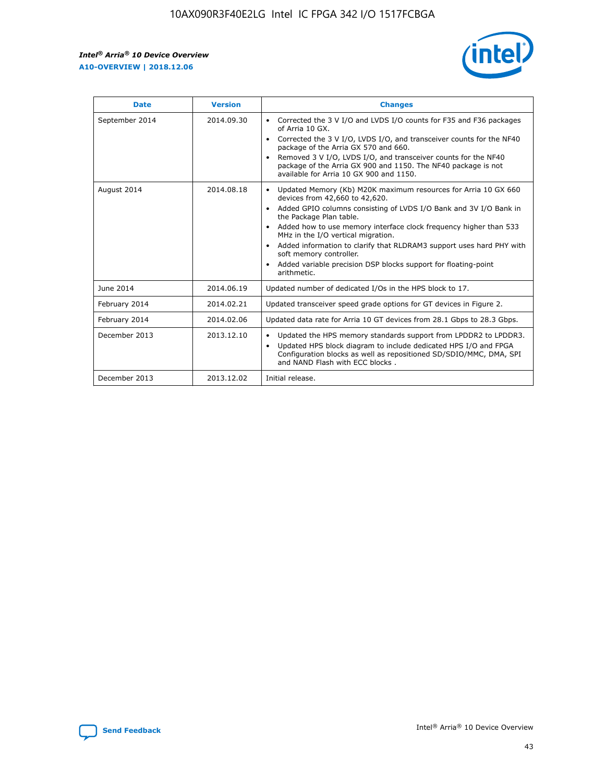r



| <b>Date</b>    | <b>Version</b> | <b>Changes</b>                                                                                                                                                                                                                                                                                                                                                                                                                                                                                                                                      |
|----------------|----------------|-----------------------------------------------------------------------------------------------------------------------------------------------------------------------------------------------------------------------------------------------------------------------------------------------------------------------------------------------------------------------------------------------------------------------------------------------------------------------------------------------------------------------------------------------------|
| September 2014 | 2014.09.30     | Corrected the 3 V I/O and LVDS I/O counts for F35 and F36 packages<br>$\bullet$<br>of Arria 10 GX.<br>Corrected the 3 V I/O, LVDS I/O, and transceiver counts for the NF40<br>$\bullet$<br>package of the Arria GX 570 and 660.<br>Removed 3 V I/O, LVDS I/O, and transceiver counts for the NF40<br>$\bullet$<br>package of the Arria GX 900 and 1150. The NF40 package is not<br>available for Arria 10 GX 900 and 1150.                                                                                                                          |
| August 2014    | 2014.08.18     | Updated Memory (Kb) M20K maximum resources for Arria 10 GX 660<br>devices from 42,660 to 42,620.<br>Added GPIO columns consisting of LVDS I/O Bank and 3V I/O Bank in<br>$\bullet$<br>the Package Plan table.<br>Added how to use memory interface clock frequency higher than 533<br>$\bullet$<br>MHz in the I/O vertical migration.<br>Added information to clarify that RLDRAM3 support uses hard PHY with<br>$\bullet$<br>soft memory controller.<br>Added variable precision DSP blocks support for floating-point<br>$\bullet$<br>arithmetic. |
| June 2014      | 2014.06.19     | Updated number of dedicated I/Os in the HPS block to 17.                                                                                                                                                                                                                                                                                                                                                                                                                                                                                            |
| February 2014  | 2014.02.21     | Updated transceiver speed grade options for GT devices in Figure 2.                                                                                                                                                                                                                                                                                                                                                                                                                                                                                 |
| February 2014  | 2014.02.06     | Updated data rate for Arria 10 GT devices from 28.1 Gbps to 28.3 Gbps.                                                                                                                                                                                                                                                                                                                                                                                                                                                                              |
| December 2013  | 2013.12.10     | Updated the HPS memory standards support from LPDDR2 to LPDDR3.<br>Updated HPS block diagram to include dedicated HPS I/O and FPGA<br>$\bullet$<br>Configuration blocks as well as repositioned SD/SDIO/MMC, DMA, SPI<br>and NAND Flash with ECC blocks.                                                                                                                                                                                                                                                                                            |
| December 2013  | 2013.12.02     | Initial release.                                                                                                                                                                                                                                                                                                                                                                                                                                                                                                                                    |